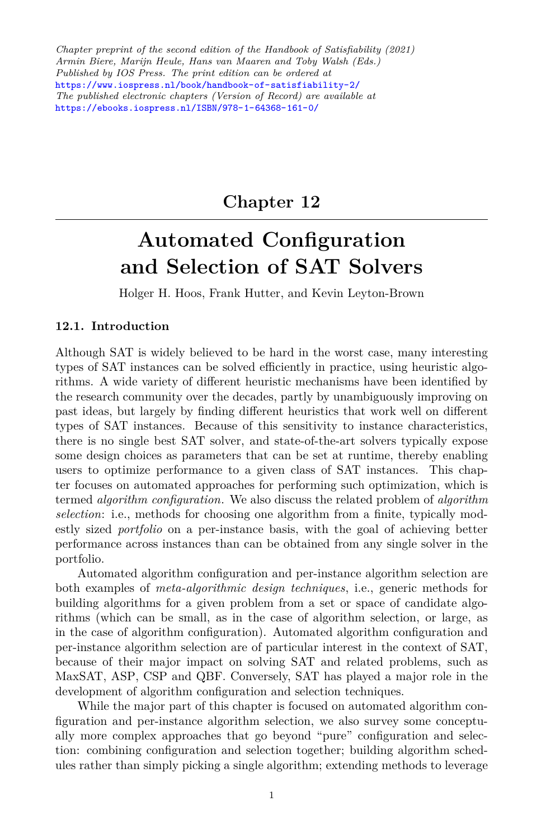*Chapter preprint of the second edition of the Handbook of Satisfiability (2021) Armin Biere, Marijn Heule, Hans van Maaren and Toby Walsh (Eds.) Published by IOS Press. The print edition can be ordered at* <https://www.iospress.nl/book/handbook-of-satisfiability-2/> *The published electronic chapters (Version of Record) are available at* <https://ebooks.iospress.nl/ISBN/978-1-64368-161-0/>

# **Chapter 12**

# **Automated Configuration and Selection of SAT Solvers**

Holger H. Hoos, Frank Hutter, and Kevin Leyton-Brown

# **12.1. Introduction**

Although SAT is widely believed to be hard in the worst case, many interesting types of SAT instances can be solved efficiently in practice, using heuristic algorithms. A wide variety of different heuristic mechanisms have been identified by the research community over the decades, partly by unambiguously improving on past ideas, but largely by finding different heuristics that work well on different types of SAT instances. Because of this sensitivity to instance characteristics, there is no single best SAT solver, and state-of-the-art solvers typically expose some design choices as parameters that can be set at runtime, thereby enabling users to optimize performance to a given class of SAT instances. This chapter focuses on automated approaches for performing such optimization, which is termed *algorithm configuration*. We also discuss the related problem of *algorithm selection*: i.e., methods for choosing one algorithm from a finite, typically modestly sized *portfolio* on a per-instance basis, with the goal of achieving better performance across instances than can be obtained from any single solver in the portfolio.

Automated algorithm configuration and per-instance algorithm selection are both examples of *meta-algorithmic design techniques*, i.e., generic methods for building algorithms for a given problem from a set or space of candidate algorithms (which can be small, as in the case of algorithm selection, or large, as in the case of algorithm configuration). Automated algorithm configuration and per-instance algorithm selection are of particular interest in the context of SAT, because of their major impact on solving SAT and related problems, such as MaxSAT, ASP, CSP and QBF. Conversely, SAT has played a major role in the development of algorithm configuration and selection techniques.

While the major part of this chapter is focused on automated algorithm configuration and per-instance algorithm selection, we also survey some conceptually more complex approaches that go beyond "pure" configuration and selection: combining configuration and selection together; building algorithm schedules rather than simply picking a single algorithm; extending methods to leverage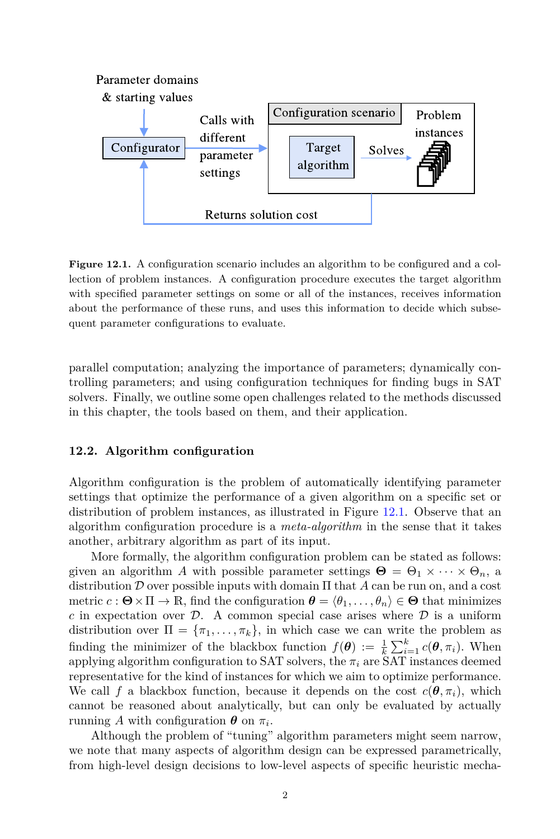

<span id="page-1-0"></span>Figure 12.1. A configuration scenario includes an algorithm to be configured and a collection of problem instances. A configuration procedure executes the target algorithm with specified parameter settings on some or all of the instances, receives information about the performance of these runs, and uses this information to decide which subsequent parameter configurations to evaluate.

parallel computation; analyzing the importance of parameters; dynamically controlling parameters; and using configuration techniques for finding bugs in SAT solvers. Finally, we outline some open challenges related to the methods discussed in this chapter, the tools based on them, and their application.

#### **12.2. Algorithm configuration**

Algorithm configuration is the problem of automatically identifying parameter settings that optimize the performance of a given algorithm on a specific set or distribution of problem instances, as illustrated in Figure [12.1.](#page-1-0) Observe that an algorithm configuration procedure is a *meta-algorithm* in the sense that it takes another, arbitrary algorithm as part of its input.

More formally, the algorithm configuration problem can be stated as follows: given an algorithm *A* with possible parameter settings  $\mathbf{\Theta} = \Theta_1 \times \cdots \times \Theta_n$ , a distribution *D* over possible inputs with domain Π that *A* can be run on, and a cost metric  $c : \mathbf{\Theta} \times \Pi \to \mathbb{R}$ , find the configuration  $\mathbf{\theta} = \langle \theta_1, \ldots, \theta_n \rangle \in \mathbf{\Theta}$  that minimizes *c* in expectation over  $\mathcal{D}$ . A common special case arises where  $\mathcal{D}$  is a uniform distribution over  $\Pi = \{\pi_1, \ldots, \pi_k\}$ , in which case we can write the problem as finding the minimizer of the blackbox function  $f(\boldsymbol{\theta}) := \frac{1}{k} \sum_{i=1}^{k} c(\boldsymbol{\theta}, \pi_i)$ . When applying algorithm configuration to SAT solvers, the  $\pi_i$  are SAT instances deemed representative for the kind of instances for which we aim to optimize performance. We call f a blackbox function, because it depends on the cost  $c(\theta, \pi_i)$ , which cannot be reasoned about analytically, but can only be evaluated by actually running *A* with configuration  $\boldsymbol{\theta}$  on  $\pi_i$ .

Although the problem of "tuning" algorithm parameters might seem narrow, we note that many aspects of algorithm design can be expressed parametrically, from high-level design decisions to low-level aspects of specific heuristic mecha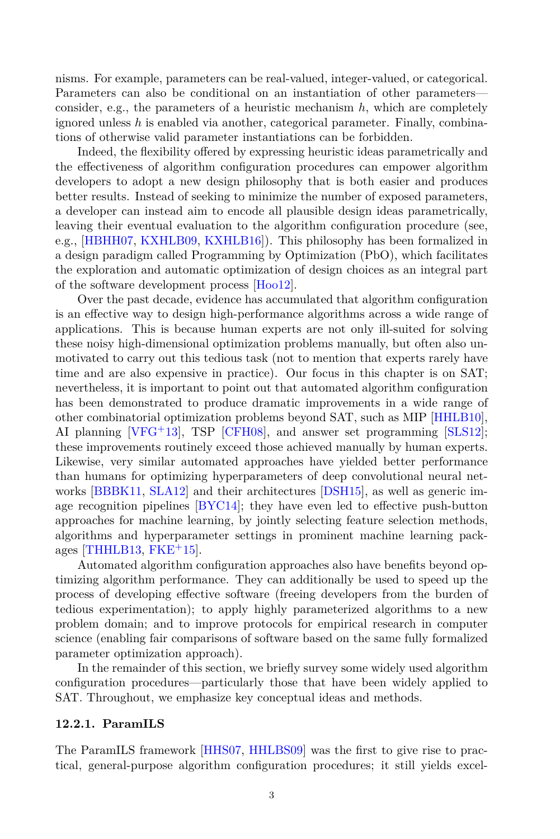nisms. For example, parameters can be real-valued, integer-valued, or categorical. Parameters can also be conditional on an instantiation of other parameters consider, e.g., the parameters of a heuristic mechanism *h*, which are completely ignored unless *h* is enabled via another, categorical parameter. Finally, combinations of otherwise valid parameter instantiations can be forbidden.

Indeed, the flexibility offered by expressing heuristic ideas parametrically and the effectiveness of algorithm configuration procedures can empower algorithm developers to adopt a new design philosophy that is both easier and produces better results. Instead of seeking to minimize the number of exposed parameters, a developer can instead aim to encode all plausible design ideas parametrically, leaving their eventual evaluation to the algorithm configuration procedure (see, e.g., [[HBHH07,](#page-21-0) [KXHLB09,](#page-23-0) [KXHLB16\]](#page-23-1)). This philosophy has been formalized in a design paradigm called Programming by Optimization (PbO), which facilitates the exploration and automatic optimization of design choices as an integral part of the software development process [[Hoo12](#page-22-0)].

Over the past decade, evidence has accumulated that algorithm configuration is an effective way to design high-performance algorithms across a wide range of applications. This is because human experts are not only ill-suited for solving these noisy high-dimensional optimization problems manually, but often also unmotivated to carry out this tedious task (not to mention that experts rarely have time and are also expensive in practice). Our focus in this chapter is on SAT; nevertheless, it is important to point out that automated algorithm configuration has been demonstrated to produce dramatic improvements in a wide range of other combinatorial optimization problems beyond SAT, such as MIP [[HHLB10\]](#page-21-1), AI planning [\[VFG](#page-25-0)+13], TSP [\[CFH08](#page-20-0)], and answer set programming [[SLS12\]](#page-25-1); these improvements routinely exceed those achieved manually by human experts. Likewise, very similar automated approaches have yielded better performance than humans for optimizing hyperparameters of deep convolutional neural networks [\[BBBK11,](#page-20-1) [SLA12](#page-25-2)] and their architectures [\[DSH15\]](#page-21-2), as well as generic image recognition pipelines [[BYC14](#page-20-2)]; they have even led to effective push-button approaches for machine learning, by jointly selecting feature selection methods, algorithms and hyperparameter settings in prominent machine learning packages  $[THHLB13, FKE<sup>+</sup>15]$  $[THHLB13, FKE<sup>+</sup>15]$  $[THHLB13, FKE<sup>+</sup>15]$  $[THHLB13, FKE<sup>+</sup>15]$ .

Automated algorithm configuration approaches also have benefits beyond optimizing algorithm performance. They can additionally be used to speed up the process of developing effective software (freeing developers from the burden of tedious experimentation); to apply highly parameterized algorithms to a new problem domain; and to improve protocols for empirical research in computer science (enabling fair comparisons of software based on the same fully formalized parameter optimization approach).

In the remainder of this section, we briefly survey some widely used algorithm configuration procedures—particularly those that have been widely applied to SAT. Throughout, we emphasize key conceptual ideas and methods.

#### **12.2.1. ParamILS**

The ParamILS framework [\[HHS07,](#page-22-1) [HHLBS09\]](#page-22-2) was the first to give rise to practical, general-purpose algorithm configuration procedures; it still yields excel-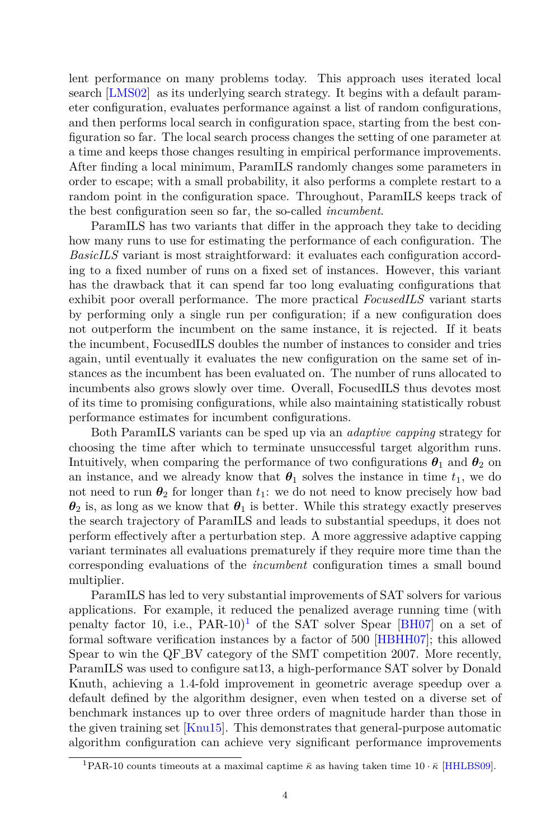lent performance on many problems today. This approach uses iterated local search [\[LMS02](#page-24-0)] as its underlying search strategy. It begins with a default parameter configuration, evaluates performance against a list of random configurations, and then performs local search in configuration space, starting from the best configuration so far. The local search process changes the setting of one parameter at a time and keeps those changes resulting in empirical performance improvements. After finding a local minimum, ParamILS randomly changes some parameters in order to escape; with a small probability, it also performs a complete restart to a random point in the configuration space. Throughout, ParamILS keeps track of the best configuration seen so far, the so-called *incumbent*.

ParamILS has two variants that differ in the approach they take to deciding how many runs to use for estimating the performance of each configuration. The *BasicILS* variant is most straightforward: it evaluates each configuration according to a fixed number of runs on a fixed set of instances. However, this variant has the drawback that it can spend far too long evaluating configurations that exhibit poor overall performance. The more practical *FocusedILS* variant starts by performing only a single run per configuration; if a new configuration does not outperform the incumbent on the same instance, it is rejected. If it beats the incumbent, FocusedILS doubles the number of instances to consider and tries again, until eventually it evaluates the new configuration on the same set of instances as the incumbent has been evaluated on. The number of runs allocated to incumbents also grows slowly over time. Overall, FocusedILS thus devotes most of its time to promising configurations, while also maintaining statistically robust performance estimates for incumbent configurations.

Both ParamILS variants can be sped up via an *adaptive capping* strategy for choosing the time after which to terminate unsuccessful target algorithm runs. Intuitively, when comparing the performance of two configurations  $\theta_1$  and  $\theta_2$  on an instance, and we already know that  $\theta_1$  solves the instance in time  $t_1$ , we do not need to run  $\theta_2$  for longer than  $t_1$ : we do not need to know precisely how bad  $\theta_2$  is, as long as we know that  $\theta_1$  is better. While this strategy exactly preserves the search trajectory of ParamILS and leads to substantial speedups, it does not perform effectively after a perturbation step. A more aggressive adaptive capping variant terminates all evaluations prematurely if they require more time than the corresponding evaluations of the *incumbent* configuration times a small bound multiplier.

ParamILS has led to very substantial improvements of SAT solvers for various applications. For example, it reduced the penalized average running time (with penalty factor [1](#page-3-0)0, i.e.,  $PAR-10$ <sup>1</sup> of the SAT solver Spear [[BH07](#page-20-3)] on a set of formal software verification instances by a factor of 500 [[HBHH07](#page-21-0)]; this allowed Spear to win the QF BV category of the SMT competition 2007. More recently, ParamILS was used to configure sat13, a high-performance SAT solver by Donald Knuth, achieving a 1.4-fold improvement in geometric average speedup over a default defined by the algorithm designer, even when tested on a diverse set of benchmark instances up to over three orders of magnitude harder than those in the given training set [\[Knu15\]](#page-23-2). This demonstrates that general-purpose automatic algorithm configuration can achieve very significant performance improvements

<span id="page-3-0"></span><sup>&</sup>lt;sup>1</sup>PAR-10 counts timeouts at a maximal captime  $\bar{\kappa}$  as having taken time 10  $\bar{\kappa}$  [[HHLBS09\]](#page-22-2).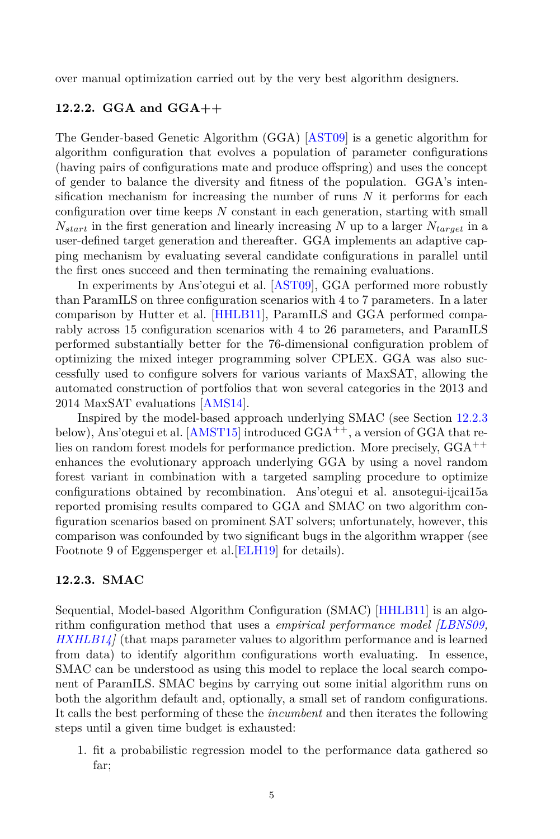over manual optimization carried out by the very best algorithm designers.

# **12.2.2. GGA and GGA++**

The Gender-based Genetic Algorithm (GGA) [[AST09\]](#page-19-0) is a genetic algorithm for algorithm configuration that evolves a population of parameter configurations (having pairs of configurations mate and produce offspring) and uses the concept of gender to balance the diversity and fitness of the population. GGA's intensification mechanism for increasing the number of runs *N* it performs for each configuration over time keeps *N* constant in each generation, starting with small  $N_{start}$  in the first generation and linearly increasing *N* up to a larger  $N_{target}$  in a user-defined target generation and thereafter. GGA implements an adaptive capping mechanism by evaluating several candidate configurations in parallel until the first ones succeed and then terminating the remaining evaluations.

In experiments by Ans'otegui et al. [[AST09](#page-19-0)], GGA performed more robustly than ParamILS on three configuration scenarios with 4 to 7 parameters. In a later comparison by Hutter et al. [[HHLB11](#page-21-4)], ParamILS and GGA performed comparably across 15 configuration scenarios with 4 to 26 parameters, and ParamILS performed substantially better for the 76-dimensional configuration problem of optimizing the mixed integer programming solver CPLEX. GGA was also successfully used to configure solvers for various variants of MaxSAT, allowing the automated construction of portfolios that won several categories in the 2013 and 2014 MaxSAT evaluations [[AMS14\]](#page-19-1).

Inspired by the model-based approach underlying SMAC (see Section [12.2.3](#page-4-0) below), Ans'otegui et al.  $[AMST15]$  introduced  $GGA^{++}$ , a version of GGA that relies on random forest models for performance prediction. More precisely,  $GGA^{++}$ enhances the evolutionary approach underlying GGA by using a novel random forest variant in combination with a targeted sampling procedure to optimize configurations obtained by recombination. Ans'otegui et al. ansotegui-ijcai15a reported promising results compared to GGA and SMAC on two algorithm configuration scenarios based on prominent SAT solvers; unfortunately, however, this comparison was confounded by two significant bugs in the algorithm wrapper (see Footnote 9 of Eggensperger et al.[[ELH19](#page-21-5)] for details).

#### <span id="page-4-0"></span>**12.2.3. SMAC**

Sequential, Model-based Algorithm Configuration (SMAC) [[HHLB11](#page-21-4)] is an algorithm configuration method that uses a *empirical performance model [[LBNS09](#page-23-3), [HXHLB14](#page-22-3)]* (that maps parameter values to algorithm performance and is learned from data) to identify algorithm configurations worth evaluating. In essence, SMAC can be understood as using this model to replace the local search component of ParamILS. SMAC begins by carrying out some initial algorithm runs on both the algorithm default and, optionally, a small set of random configurations. It calls the best performing of these the *incumbent* and then iterates the following steps until a given time budget is exhausted:

1. fit a probabilistic regression model to the performance data gathered so far;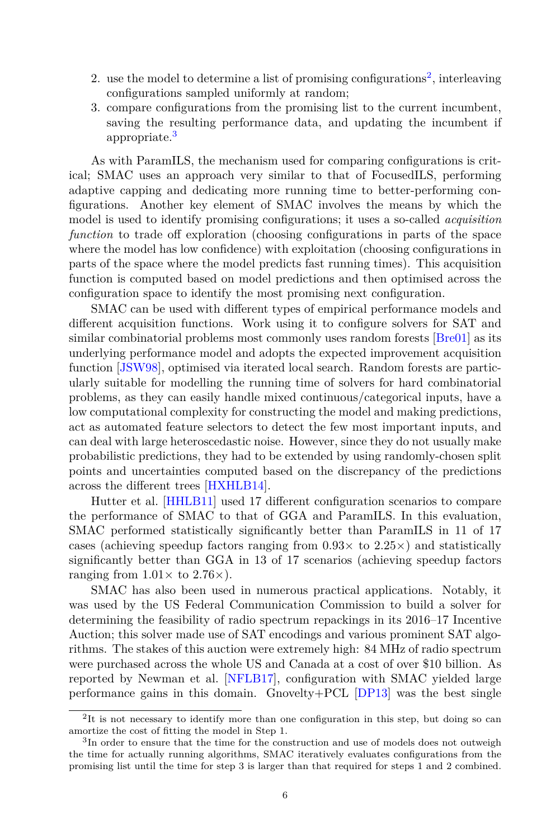- [2](#page-5-0). use the model to determine a list of promising configurations<sup>2</sup>, interleaving configurations sampled uniformly at random;
- 3. compare configurations from the promising list to the current incumbent, saving the resulting performance data, and updating the incumbent if appropriate.<sup>[3](#page-5-1)</sup>

As with ParamILS, the mechanism used for comparing configurations is critical; SMAC uses an approach very similar to that of FocusedILS, performing adaptive capping and dedicating more running time to better-performing configurations. Another key element of SMAC involves the means by which the model is used to identify promising configurations; it uses a so-called *acquisition function* to trade off exploration (choosing configurations in parts of the space where the model has low confidence) with exploitation (choosing configurations in parts of the space where the model predicts fast running times). This acquisition function is computed based on model predictions and then optimised across the configuration space to identify the most promising next configuration.

SMAC can be used with different types of empirical performance models and different acquisition functions. Work using it to configure solvers for SAT and similar combinatorial problems most commonly uses random forests [\[Bre01\]](#page-20-4) as its underlying performance model and adopts the expected improvement acquisition function [\[JSW98\]](#page-22-4), optimised via iterated local search. Random forests are particularly suitable for modelling the running time of solvers for hard combinatorial problems, as they can easily handle mixed continuous/categorical inputs, have a low computational complexity for constructing the model and making predictions, act as automated feature selectors to detect the few most important inputs, and can deal with large heteroscedastic noise. However, since they do not usually make probabilistic predictions, they had to be extended by using randomly-chosen split points and uncertainties computed based on the discrepancy of the predictions across the different trees [\[HXHLB14](#page-22-3)].

Hutter et al. [[HHLB11\]](#page-21-4) used 17 different configuration scenarios to compare the performance of SMAC to that of GGA and ParamILS. In this evaluation, SMAC performed statistically significantly better than ParamILS in 11 of 17 cases (achieving speedup factors ranging from 0*.*93*×* to 2*.*25*×*) and statistically significantly better than GGA in 13 of 17 scenarios (achieving speedup factors ranging from  $1.01 \times$  to  $2.76 \times$ ).

SMAC has also been used in numerous practical applications. Notably, it was used by the US Federal Communication Commission to build a solver for determining the feasibility of radio spectrum repackings in its 2016–17 Incentive Auction; this solver made use of SAT encodings and various prominent SAT algorithms. The stakes of this auction were extremely high: 84 MHz of radio spectrum were purchased across the whole US and Canada at a cost of over \$10 billion. As reported by Newman et al. [\[NFLB17\]](#page-24-1), configuration with SMAC yielded large performance gains in this domain. Gnovelty+PCL [[DP13](#page-21-6)] was the best single

<span id="page-5-0"></span><sup>&</sup>lt;sup>2</sup>It is not necessary to identify more than one configuration in this step, but doing so can amortize the cost of fitting the model in Step 1.

<span id="page-5-1"></span><sup>3</sup> In order to ensure that the time for the construction and use of models does not outweigh the time for actually running algorithms, SMAC iteratively evaluates configurations from the promising list until the time for step 3 is larger than that required for steps 1 and 2 combined.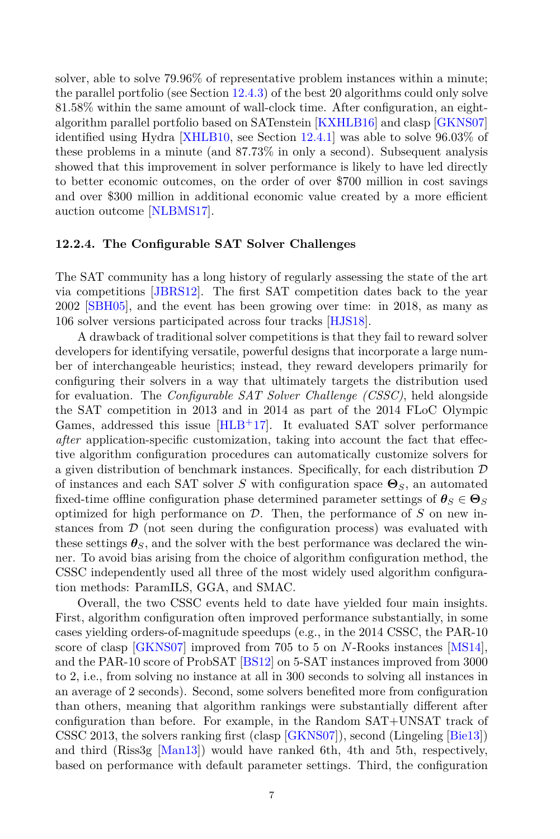solver, able to solve 79.96% of representative problem instances within a minute; the parallel portfolio (see Section [12.4.3\)](#page-16-0) of the best 20 algorithms could only solve 81.58% within the same amount of wall-clock time. After configuration, an eightalgorithm parallel portfolio based on SATenstein [[KXHLB16\]](#page-23-1) and clasp [\[GKNS07\]](#page-21-7) identified using Hydra [[XHLB10](#page-26-0), see Section [12.4.1](#page-15-0)] was able to solve 96.03% of these problems in a minute (and 87.73% in only a second). Subsequent analysis showed that this improvement in solver performance is likely to have led directly to better economic outcomes, on the order of over \$700 million in cost savings and over \$300 million in additional economic value created by a more efficient auction outcome [[NLBMS17](#page-24-2)].

# <span id="page-6-0"></span>**12.2.4. The Configurable SAT Solver Challenges**

The SAT community has a long history of regularly assessing the state of the art via competitions [[JBRS12\]](#page-22-5). The first SAT competition dates back to the year 2002 [[SBH05\]](#page-25-4), and the event has been growing over time: in 2018, as many as 106 solver versions participated across four tracks [[HJS18\]](#page-22-6).

A drawback of traditional solver competitions is that they fail to reward solver developers for identifying versatile, powerful designs that incorporate a large number of interchangeable heuristics; instead, they reward developers primarily for configuring their solvers in a way that ultimately targets the distribution used for evaluation. The *Configurable SAT Solver Challenge (CSSC)*, held alongside the SAT competition in 2013 and in 2014 as part of the 2014 FLoC Olympic Games, addressed this issue  $[HLB+17]$  $[HLB+17]$  $[HLB+17]$ . It evaluated SAT solver performance *after* application-specific customization, taking into account the fact that effective algorithm configuration procedures can automatically customize solvers for a given distribution of benchmark instances. Specifically, for each distribution *D* of instances and each SAT solver *S* with configuration space **Θ***S*, an automated fixed-time offline configuration phase determined parameter settings of  $\theta_S \in \Theta_S$ optimized for high performance on *D*. Then, the performance of *S* on new instances from  $\mathcal D$  (not seen during the configuration process) was evaluated with these settings  $\theta_{\mathcal{S}}$ , and the solver with the best performance was declared the winner. To avoid bias arising from the choice of algorithm configuration method, the CSSC independently used all three of the most widely used algorithm configuration methods: ParamILS, GGA, and SMAC.

Overall, the two CSSC events held to date have yielded four main insights. First, algorithm configuration often improved performance substantially, in some cases yielding orders-of-magnitude speedups (e.g., in the 2014 CSSC, the PAR-10 score of clasp [[GKNS07](#page-21-7)] improved from 705 to 5 on *N*-Rooks instances [\[MS14\]](#page-24-3), and the PAR-10 score of ProbSAT [[BS12\]](#page-20-5) on 5-SAT instances improved from 3000 to 2, i.e., from solving no instance at all in 300 seconds to solving all instances in an average of 2 seconds). Second, some solvers benefited more from configuration than others, meaning that algorithm rankings were substantially different after configuration than before. For example, in the Random SAT+UNSAT track of CSSC 2013, the solvers ranking first (clasp [[GKNS07\]](#page-21-7)), second (Lingeling [[Bie13\]](#page-20-6)) and third (Riss3g [\[Man13](#page-24-4)]) would have ranked 6th, 4th and 5th, respectively, based on performance with default parameter settings. Third, the configuration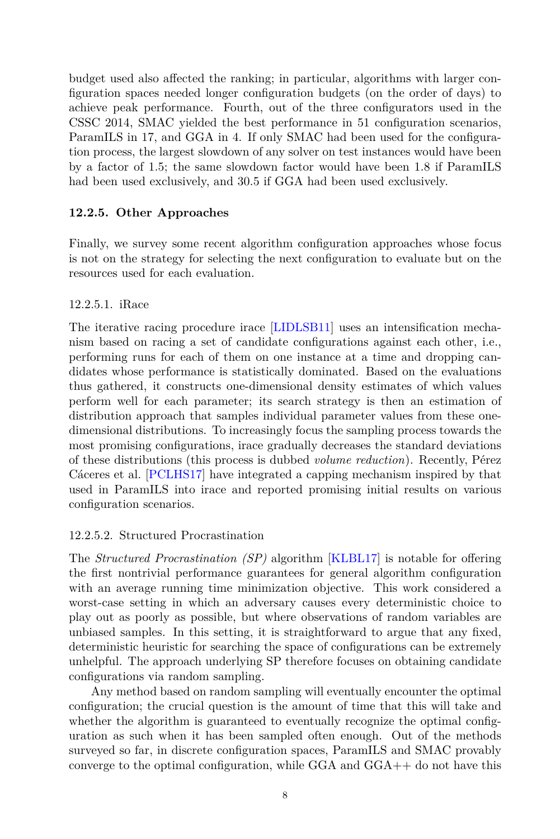budget used also affected the ranking; in particular, algorithms with larger configuration spaces needed longer configuration budgets (on the order of days) to achieve peak performance. Fourth, out of the three configurators used in the CSSC 2014, SMAC yielded the best performance in 51 configuration scenarios, ParamILS in 17, and GGA in 4. If only SMAC had been used for the configuration process, the largest slowdown of any solver on test instances would have been by a factor of 1*.*5; the same slowdown factor would have been 1*.*8 if ParamILS had been used exclusively, and 30*.*5 if GGA had been used exclusively.

# **12.2.5. Other Approaches**

Finally, we survey some recent algorithm configuration approaches whose focus is not on the strategy for selecting the next configuration to evaluate but on the resources used for each evaluation.

# 12.2.5.1. iRace

The iterative racing procedure irace [[LIDLSB11\]](#page-24-5) uses an intensification mechanism based on racing a set of candidate configurations against each other, i.e., performing runs for each of them on one instance at a time and dropping candidates whose performance is statistically dominated. Based on the evaluations thus gathered, it constructs one-dimensional density estimates of which values perform well for each parameter; its search strategy is then an estimation of distribution approach that samples individual parameter values from these onedimensional distributions. To increasingly focus the sampling process towards the most promising configurations, irace gradually decreases the standard deviations of these distributions (this process is dubbed *volume reduction*). Recently, Pérez Cáceres et al. [[PCLHS17\]](#page-25-5) have integrated a capping mechanism inspired by that used in ParamILS into irace and reported promising initial results on various configuration scenarios.

# 12.2.5.2. Structured Procrastination

The *Structured Procrastination (SP)* algorithm [\[KLBL17\]](#page-23-4) is notable for offering the first nontrivial performance guarantees for general algorithm configuration with an average running time minimization objective. This work considered a worst-case setting in which an adversary causes every deterministic choice to play out as poorly as possible, but where observations of random variables are unbiased samples. In this setting, it is straightforward to argue that any fixed, deterministic heuristic for searching the space of configurations can be extremely unhelpful. The approach underlying SP therefore focuses on obtaining candidate configurations via random sampling.

Any method based on random sampling will eventually encounter the optimal configuration; the crucial question is the amount of time that this will take and whether the algorithm is guaranteed to eventually recognize the optimal configuration as such when it has been sampled often enough. Out of the methods surveyed so far, in discrete configuration spaces, ParamILS and SMAC provably converge to the optimal configuration, while GGA and GGA++ do not have this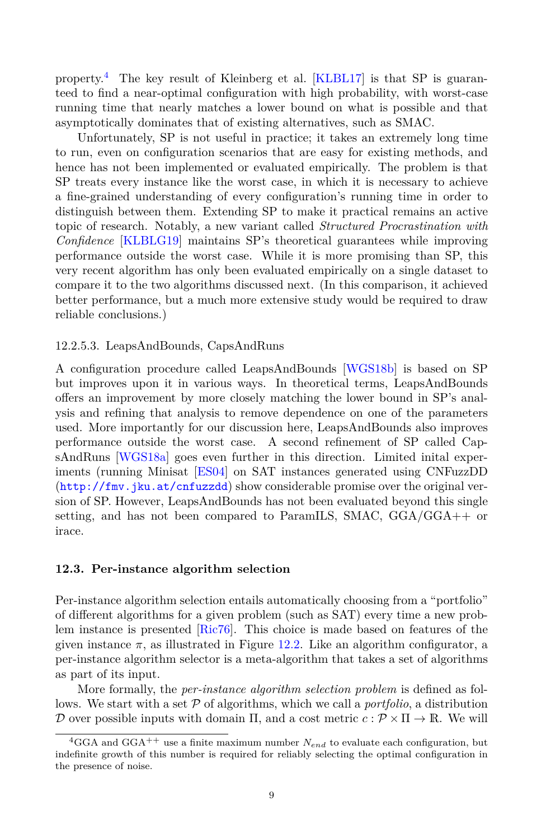property.<sup>[4](#page-8-0)</sup> The key result of Kleinberg et al. [[KLBL17](#page-23-4)] is that SP is guaranteed to find a near-optimal configuration with high probability, with worst-case running time that nearly matches a lower bound on what is possible and that asymptotically dominates that of existing alternatives, such as SMAC.

Unfortunately, SP is not useful in practice; it takes an extremely long time to run, even on configuration scenarios that are easy for existing methods, and hence has not been implemented or evaluated empirically. The problem is that SP treats every instance like the worst case, in which it is necessary to achieve a fine-grained understanding of every configuration's running time in order to distinguish between them. Extending SP to make it practical remains an active topic of research. Notably, a new variant called *Structured Procrastination with Confidence* [[KLBLG19\]](#page-23-5) maintains SP's theoretical guarantees while improving performance outside the worst case. While it is more promising than SP, this very recent algorithm has only been evaluated empirically on a single dataset to compare it to the two algorithms discussed next. (In this comparison, it achieved better performance, but a much more extensive study would be required to draw reliable conclusions.)

#### 12.2.5.3. LeapsAndBounds, CapsAndRuns

A configuration procedure called LeapsAndBounds [[WGS18b](#page-25-6)] is based on SP but improves upon it in various ways. In theoretical terms, LeapsAndBounds offers an improvement by more closely matching the lower bound in SP's analysis and refining that analysis to remove dependence on one of the parameters used. More importantly for our discussion here, LeapsAndBounds also improves performance outside the worst case. A second refinement of SP called CapsAndRuns [\[WGS18a\]](#page-25-7) goes even further in this direction. Limited inital experiments (running Minisat [[ES04](#page-21-8)] on SAT instances generated using CNFuzzDD (<http://fmv.jku.at/cnfuzzdd>) show considerable promise over the original version of SP. However, LeapsAndBounds has not been evaluated beyond this single setting, and has not been compared to ParamILS, SMAC, GGA/GGA++ or irace.

#### <span id="page-8-1"></span>**12.3. Per-instance algorithm selection**

Per-instance algorithm selection entails automatically choosing from a "portfolio" of different algorithms for a given problem (such as SAT) every time a new problem instance is presented [[Ric76\]](#page-25-8). This choice is made based on features of the given instance  $\pi$ , as illustrated in Figure [12.2](#page-9-0). Like an algorithm configurator, a per-instance algorithm selector is a meta-algorithm that takes a set of algorithms as part of its input.

More formally, the *per-instance algorithm selection problem* is defined as follows. We start with a set *P* of algorithms, which we call a *portfolio*, a distribution *D* over possible inputs with domain  $\Pi$ , and a cost metric  $c : \mathcal{P} \times \Pi \to \mathbb{R}$ . We will

<span id="page-8-0"></span><sup>&</sup>lt;sup>4</sup>GGA and GGA<sup>++</sup> use a finite maximum number  $N_{end}$  to evaluate each configuration, but indefinite growth of this number is required for reliably selecting the optimal configuration in the presence of noise.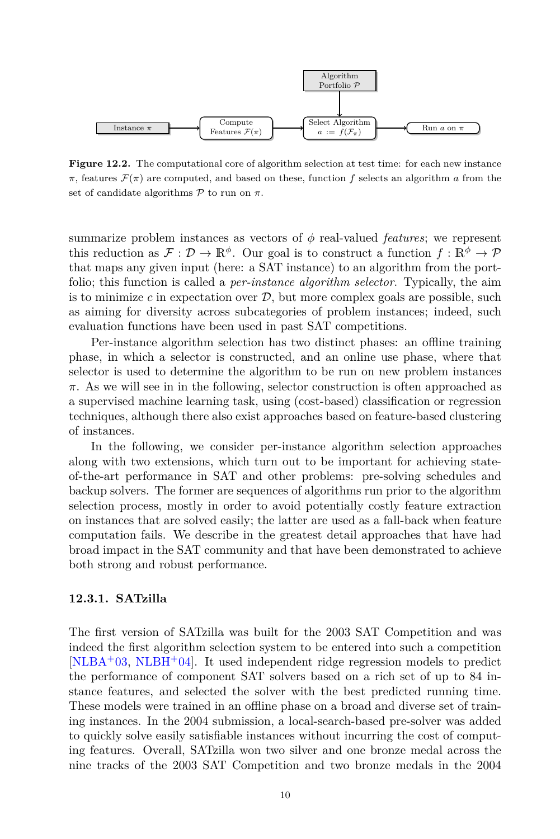

<span id="page-9-0"></span>Figure 12.2. The computational core of algorithm selection at test time: for each new instance *π*, features  $\mathcal{F}(\pi)$  are computed, and based on these, function *f* selects an algorithm *a* from the set of candidate algorithms  $\mathcal P$  to run on  $\pi$ .

summarize problem instances as vectors of *ϕ* real-valued *features*; we represent this reduction as  $\mathcal{F}: \mathcal{D} \to \mathbb{R}^{\phi}$ . Our goal is to construct a function  $f: \mathbb{R}^{\phi} \to \mathcal{P}$ that maps any given input (here: a SAT instance) to an algorithm from the portfolio; this function is called a *per-instance algorithm selector*. Typically, the aim is to minimize  $c$  in expectation over  $D$ , but more complex goals are possible, such as aiming for diversity across subcategories of problem instances; indeed, such evaluation functions have been used in past SAT competitions.

Per-instance algorithm selection has two distinct phases: an offline training phase, in which a selector is constructed, and an online use phase, where that selector is used to determine the algorithm to be run on new problem instances *π*. As we will see in in the following, selector construction is often approached as a supervised machine learning task, using (cost-based) classification or regression techniques, although there also exist approaches based on feature-based clustering of instances.

In the following, we consider per-instance algorithm selection approaches along with two extensions, which turn out to be important for achieving stateof-the-art performance in SAT and other problems: pre-solving schedules and backup solvers. The former are sequences of algorithms run prior to the algorithm selection process, mostly in order to avoid potentially costly feature extraction on instances that are solved easily; the latter are used as a fall-back when feature computation fails. We describe in the greatest detail approaches that have had broad impact in the SAT community and that have been demonstrated to achieve both strong and robust performance.

#### **12.3.1. SATzilla**

The first version of SATzilla was built for the 2003 SAT Competition and was indeed the first algorithm selection system to be entered into such a competition  $[NLBA<sup>+</sup>03, NLBH<sup>+</sup>04]$  $[NLBA<sup>+</sup>03, NLBH<sup>+</sup>04]$  $[NLBA<sup>+</sup>03, NLBH<sup>+</sup>04]$  $[NLBA<sup>+</sup>03, NLBH<sup>+</sup>04]$  $[NLBA<sup>+</sup>03, NLBH<sup>+</sup>04]$ . It used independent ridge regression models to predict the performance of component SAT solvers based on a rich set of up to 84 instance features, and selected the solver with the best predicted running time. These models were trained in an offline phase on a broad and diverse set of training instances. In the 2004 submission, a local-search-based pre-solver was added to quickly solve easily satisfiable instances without incurring the cost of computing features. Overall, SATzilla won two silver and one bronze medal across the nine tracks of the 2003 SAT Competition and two bronze medals in the 2004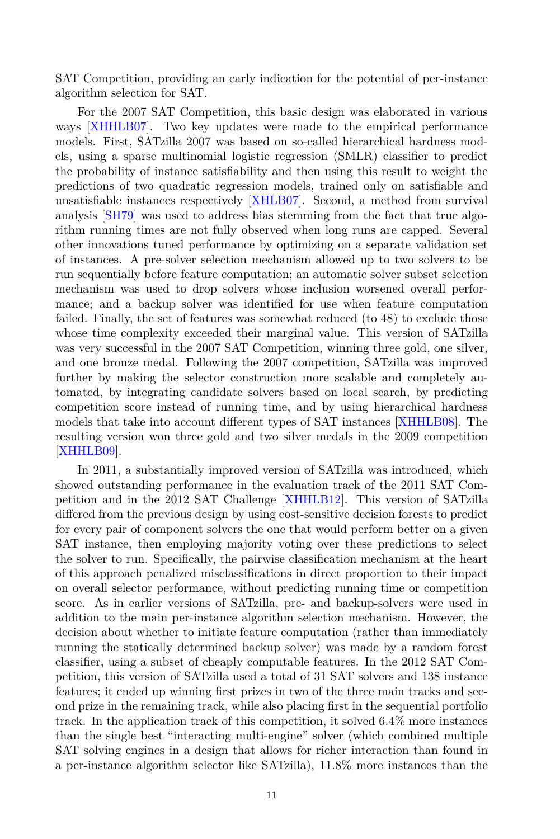SAT Competition, providing an early indication for the potential of per-instance algorithm selection for SAT.

For the 2007 SAT Competition, this basic design was elaborated in various ways [[XHHLB07\]](#page-25-9). Two key updates were made to the empirical performance models. First, SATzilla 2007 was based on so-called hierarchical hardness models, using a sparse multinomial logistic regression (SMLR) classifier to predict the probability of instance satisfiability and then using this result to weight the predictions of two quadratic regression models, trained only on satisfiable and unsatisfiable instances respectively [[XHLB07](#page-26-1)]. Second, a method from survival analysis [\[SH79](#page-25-10)] was used to address bias stemming from the fact that true algorithm running times are not fully observed when long runs are capped. Several other innovations tuned performance by optimizing on a separate validation set of instances. A pre-solver selection mechanism allowed up to two solvers to be run sequentially before feature computation; an automatic solver subset selection mechanism was used to drop solvers whose inclusion worsened overall performance; and a backup solver was identified for use when feature computation failed. Finally, the set of features was somewhat reduced (to 48) to exclude those whose time complexity exceeded their marginal value. This version of SATzilla was very successful in the 2007 SAT Competition, winning three gold, one silver, and one bronze medal. Following the 2007 competition, SATzilla was improved further by making the selector construction more scalable and completely automated, by integrating candidate solvers based on local search, by predicting competition score instead of running time, and by using hierarchical hardness models that take into account different types of SAT instances [[XHHLB08](#page-26-2)]. The resulting version won three gold and two silver medals in the 2009 competition [[XHHLB09](#page-26-3)].

In 2011, a substantially improved version of SATzilla was introduced, which showed outstanding performance in the evaluation track of the 2011 SAT Competition and in the 2012 SAT Challenge [[XHHLB12](#page-26-4)]. This version of SATzilla differed from the previous design by using cost-sensitive decision forests to predict for every pair of component solvers the one that would perform better on a given SAT instance, then employing majority voting over these predictions to select the solver to run. Specifically, the pairwise classification mechanism at the heart of this approach penalized misclassifications in direct proportion to their impact on overall selector performance, without predicting running time or competition score. As in earlier versions of SATzilla, pre- and backup-solvers were used in addition to the main per-instance algorithm selection mechanism. However, the decision about whether to initiate feature computation (rather than immediately running the statically determined backup solver) was made by a random forest classifier, using a subset of cheaply computable features. In the 2012 SAT Competition, this version of SATzilla used a total of 31 SAT solvers and 138 instance features; it ended up winning first prizes in two of the three main tracks and second prize in the remaining track, while also placing first in the sequential portfolio track. In the application track of this competition, it solved 6.4% more instances than the single best "interacting multi-engine" solver (which combined multiple SAT solving engines in a design that allows for richer interaction than found in a per-instance algorithm selector like SATzilla), 11.8% more instances than the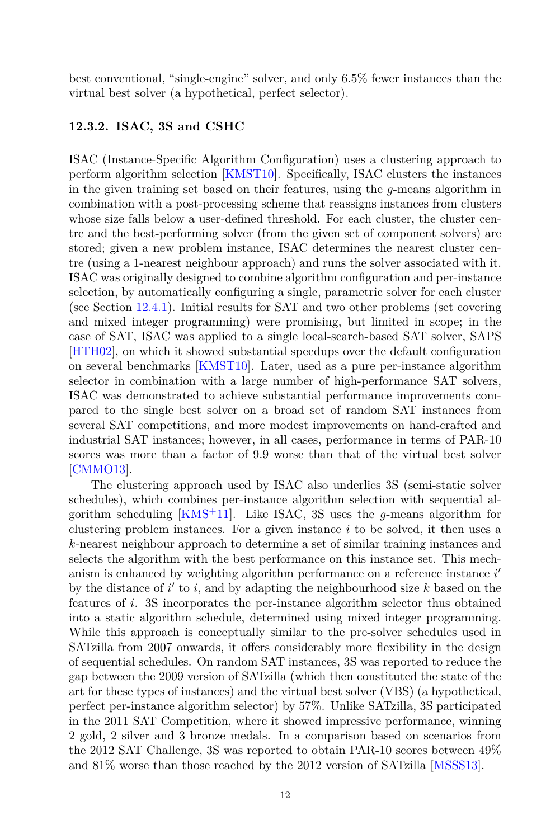best conventional, "single-engine" solver, and only 6.5% fewer instances than the virtual best solver (a hypothetical, perfect selector).

# **12.3.2. ISAC, 3S and CSHC**

ISAC (Instance-Specific Algorithm Configuration) uses a clustering approach to perform algorithm selection [[KMST10](#page-23-6)]. Specifically, ISAC clusters the instances in the given training set based on their features, using the *g*-means algorithm in combination with a post-processing scheme that reassigns instances from clusters whose size falls below a user-defined threshold. For each cluster, the cluster centre and the best-performing solver (from the given set of component solvers) are stored; given a new problem instance, ISAC determines the nearest cluster centre (using a 1-nearest neighbour approach) and runs the solver associated with it. ISAC was originally designed to combine algorithm configuration and per-instance selection, by automatically configuring a single, parametric solver for each cluster (see Section [12.4.1\)](#page-15-0). Initial results for SAT and two other problems (set covering and mixed integer programming) were promising, but limited in scope; in the case of SAT, ISAC was applied to a single local-search-based SAT solver, SAPS [[HTH02\]](#page-22-8), on which it showed substantial speedups over the default configuration on several benchmarks [[KMST10\]](#page-23-6). Later, used as a pure per-instance algorithm selector in combination with a large number of high-performance SAT solvers, ISAC was demonstrated to achieve substantial performance improvements compared to the single best solver on a broad set of random SAT instances from several SAT competitions, and more modest improvements on hand-crafted and industrial SAT instances; however, in all cases, performance in terms of PAR-10 scores was more than a factor of 9.9 worse than that of the virtual best solver [[CMMO13\]](#page-20-7).

The clustering approach used by ISAC also underlies 3S (semi-static solver schedules), which combines per-instance algorithm selection with sequential algorithm scheduling [[KMS](#page-23-7)+11]. Like ISAC, 3S uses the *g*-means algorithm for clustering problem instances. For a given instance *i* to be solved, it then uses a *k*-nearest neighbour approach to determine a set of similar training instances and selects the algorithm with the best performance on this instance set. This mechanism is enhanced by weighting algorithm performance on a reference instance *i ′* by the distance of *i ′* to *i*, and by adapting the neighbourhood size *k* based on the features of *i*. 3S incorporates the per-instance algorithm selector thus obtained into a static algorithm schedule, determined using mixed integer programming. While this approach is conceptually similar to the pre-solver schedules used in SATzilla from 2007 onwards, it offers considerably more flexibility in the design of sequential schedules. On random SAT instances, 3S was reported to reduce the gap between the 2009 version of SATzilla (which then constituted the state of the art for these types of instances) and the virtual best solver (VBS) (a hypothetical, perfect per-instance algorithm selector) by 57%. Unlike SATzilla, 3S participated in the 2011 SAT Competition, where it showed impressive performance, winning 2 gold, 2 silver and 3 bronze medals. In a comparison based on scenarios from the 2012 SAT Challenge, 3S was reported to obtain PAR-10 scores between 49% and 81% worse than those reached by the 2012 version of SATzilla [[MSSS13](#page-24-8)].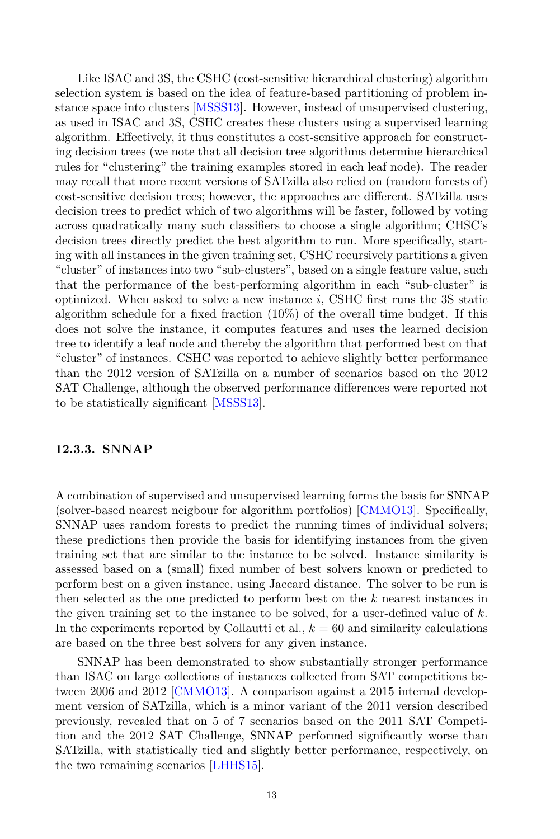Like ISAC and 3S, the CSHC (cost-sensitive hierarchical clustering) algorithm selection system is based on the idea of feature-based partitioning of problem instance space into clusters [[MSSS13](#page-24-8)]. However, instead of unsupervised clustering, as used in ISAC and 3S, CSHC creates these clusters using a supervised learning algorithm. Effectively, it thus constitutes a cost-sensitive approach for constructing decision trees (we note that all decision tree algorithms determine hierarchical rules for "clustering" the training examples stored in each leaf node). The reader may recall that more recent versions of SATzilla also relied on (random forests of) cost-sensitive decision trees; however, the approaches are different. SATzilla uses decision trees to predict which of two algorithms will be faster, followed by voting across quadratically many such classifiers to choose a single algorithm; CHSC's decision trees directly predict the best algorithm to run. More specifically, starting with all instances in the given training set, CSHC recursively partitions a given "cluster" of instances into two "sub-clusters", based on a single feature value, such that the performance of the best-performing algorithm in each "sub-cluster" is optimized. When asked to solve a new instance *i*, CSHC first runs the 3S static algorithm schedule for a fixed fraction (10%) of the overall time budget. If this does not solve the instance, it computes features and uses the learned decision tree to identify a leaf node and thereby the algorithm that performed best on that "cluster" of instances. CSHC was reported to achieve slightly better performance than the 2012 version of SATzilla on a number of scenarios based on the 2012 SAT Challenge, although the observed performance differences were reported not to be statistically significant [\[MSSS13\]](#page-24-8).

#### **12.3.3. SNNAP**

A combination of supervised and unsupervised learning forms the basis for SNNAP (solver-based nearest neigbour for algorithm portfolios) [[CMMO13\]](#page-20-7). Specifically, SNNAP uses random forests to predict the running times of individual solvers; these predictions then provide the basis for identifying instances from the given training set that are similar to the instance to be solved. Instance similarity is assessed based on a (small) fixed number of best solvers known or predicted to perform best on a given instance, using Jaccard distance. The solver to be run is then selected as the one predicted to perform best on the *k* nearest instances in the given training set to the instance to be solved, for a user-defined value of *k*. In the experiments reported by Collautti et al.,  $k = 60$  and similarity calculations are based on the three best solvers for any given instance.

SNNAP has been demonstrated to show substantially stronger performance than ISAC on large collections of instances collected from SAT competitions between 2006 and 2012 [\[CMMO13](#page-20-7)]. A comparison against a 2015 internal development version of SATzilla, which is a minor variant of the 2011 version described previously, revealed that on 5 of 7 scenarios based on the 2011 SAT Competition and the 2012 SAT Challenge, SNNAP performed significantly worse than SATzilla, with statistically tied and slightly better performance, respectively, on the two remaining scenarios [\[LHHS15\]](#page-23-8).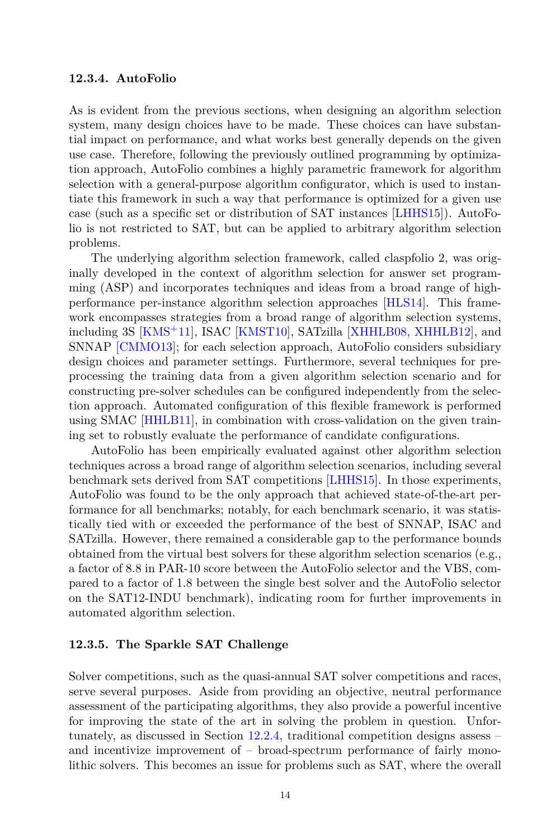#### <span id="page-13-0"></span>**12.3.4. AutoFolio**

As is evident from the previous sections, when designing an algorithm selection system, many design choices have to be made. These choices can have substantial impact on performance, and what works best generally depends on the given use case. Therefore, following the previously outlined programming by optimization approach, AutoFolio combines a highly parametric framework for algorithm selection with a general-purpose algorithm configurator, which is used to instantiate this framework in such a way that performance is optimized for a given use case (such as a specific set or distribution of SAT instances [\[LHHS15\]](#page-23-8)). AutoFolio is not restricted to SAT, but can be applied to arbitrary algorithm selection problems.

The underlying algorithm selection framework, called claspfolio 2, was originally developed in the context of algorithm selection for answer set programming (ASP) and incorporates techniques and ideas from a broad range of highperformance per-instance algorithm selection approaches [[HLS14](#page-22-9)]. This framework encompasses strategies from a broad range of algorithm selection systems, including 3S [[KMS](#page-23-7)+11], ISAC [\[KMST10\]](#page-23-6), SATzilla [\[XHHLB08,](#page-26-2) [XHHLB12\]](#page-26-4), and SNNAP [[CMMO13\]](#page-20-7); for each selection approach, AutoFolio considers subsidiary design choices and parameter settings. Furthermore, several techniques for preprocessing the training data from a given algorithm selection scenario and for constructing pre-solver schedules can be configured independently from the selection approach. Automated configuration of this flexible framework is performed using SMAC [[HHLB11](#page-21-4)], in combination with cross-validation on the given training set to robustly evaluate the performance of candidate configurations.

AutoFolio has been empirically evaluated against other algorithm selection techniques across a broad range of algorithm selection scenarios, including several benchmark sets derived from SAT competitions [[LHHS15\]](#page-23-8). In those experiments, AutoFolio was found to be the only approach that achieved state-of-the-art performance for all benchmarks; notably, for each benchmark scenario, it was statistically tied with or exceeded the performance of the best of SNNAP, ISAC and SATzilla. However, there remained a considerable gap to the performance bounds obtained from the virtual best solvers for these algorithm selection scenarios (e.g., a factor of 8.8 in PAR-10 score between the AutoFolio selector and the VBS, compared to a factor of 1.8 between the single best solver and the AutoFolio selector on the SAT12-INDU benchmark), indicating room for further improvements in automated algorithm selection.

#### **12.3.5. The Sparkle SAT Challenge**

Solver competitions, such as the quasi-annual SAT solver competitions and races, serve several purposes. Aside from providing an objective, neutral performance assessment of the participating algorithms, they also provide a powerful incentive for improving the state of the art in solving the problem in question. Unfortunately, as discussed in Section [12.2.4](#page-6-0), traditional competition designs assess – and incentivize improvement of – broad-spectrum performance of fairly monolithic solvers. This becomes an issue for problems such as SAT, where the overall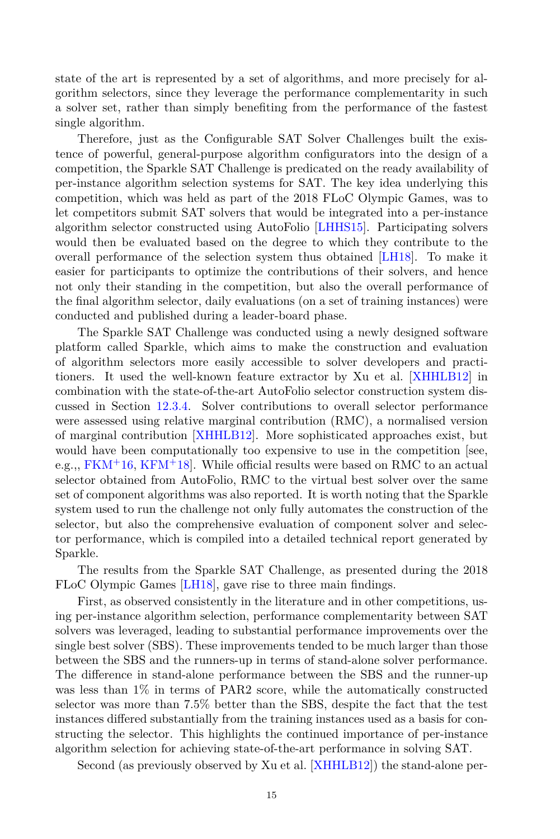state of the art is represented by a set of algorithms, and more precisely for algorithm selectors, since they leverage the performance complementarity in such a solver set, rather than simply benefiting from the performance of the fastest single algorithm.

Therefore, just as the Configurable SAT Solver Challenges built the existence of powerful, general-purpose algorithm configurators into the design of a competition, the Sparkle SAT Challenge is predicated on the ready availability of per-instance algorithm selection systems for SAT. The key idea underlying this competition, which was held as part of the 2018 FLoC Olympic Games, was to let competitors submit SAT solvers that would be integrated into a per-instance algorithm selector constructed using AutoFolio [[LHHS15](#page-23-8)]. Participating solvers would then be evaluated based on the degree to which they contribute to the overall performance of the selection system thus obtained [[LH18](#page-23-9)]. To make it easier for participants to optimize the contributions of their solvers, and hence not only their standing in the competition, but also the overall performance of the final algorithm selector, daily evaluations (on a set of training instances) were conducted and published during a leader-board phase.

The Sparkle SAT Challenge was conducted using a newly designed software platform called Sparkle, which aims to make the construction and evaluation of algorithm selectors more easily accessible to solver developers and practitioners. It used the well-known feature extractor by Xu et al. [[XHHLB12\]](#page-26-4) in combination with the state-of-the-art AutoFolio selector construction system discussed in Section [12.3.4](#page-13-0). Solver contributions to overall selector performance were assessed using relative marginal contribution (RMC), a normalised version of marginal contribution [[XHHLB12](#page-26-4)]. More sophisticated approaches exist, but would have been computationally too expensive to use in the competition [see, e.g.,,  $FKM<sup>+</sup>16$  $FKM<sup>+</sup>16$ ,  $KFM<sup>+</sup>18$  $KFM<sup>+</sup>18$ . While official results were based on RMC to an actual selector obtained from AutoFolio, RMC to the virtual best solver over the same set of component algorithms was also reported. It is worth noting that the Sparkle system used to run the challenge not only fully automates the construction of the selector, but also the comprehensive evaluation of component solver and selector performance, which is compiled into a detailed technical report generated by Sparkle.

The results from the Sparkle SAT Challenge, as presented during the 2018 FLoC Olympic Games [[LH18](#page-23-9)], gave rise to three main findings.

First, as observed consistently in the literature and in other competitions, using per-instance algorithm selection, performance complementarity between SAT solvers was leveraged, leading to substantial performance improvements over the single best solver (SBS). These improvements tended to be much larger than those between the SBS and the runners-up in terms of stand-alone solver performance. The difference in stand-alone performance between the SBS and the runner-up was less than 1% in terms of PAR2 score, while the automatically constructed selector was more than 7.5% better than the SBS, despite the fact that the test instances differed substantially from the training instances used as a basis for constructing the selector. This highlights the continued importance of per-instance algorithm selection for achieving state-of-the-art performance in solving SAT.

Second (as previously observed by Xu et al. [[XHHLB12\]](#page-26-4)) the stand-alone per-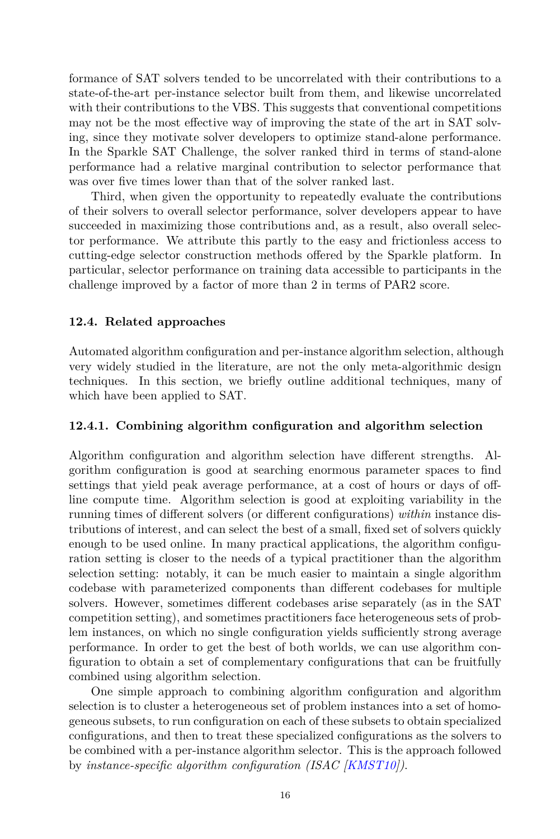formance of SAT solvers tended to be uncorrelated with their contributions to a state-of-the-art per-instance selector built from them, and likewise uncorrelated with their contributions to the VBS. This suggests that conventional competitions may not be the most effective way of improving the state of the art in SAT solving, since they motivate solver developers to optimize stand-alone performance. In the Sparkle SAT Challenge, the solver ranked third in terms of stand-alone performance had a relative marginal contribution to selector performance that was over five times lower than that of the solver ranked last.

Third, when given the opportunity to repeatedly evaluate the contributions of their solvers to overall selector performance, solver developers appear to have succeeded in maximizing those contributions and, as a result, also overall selector performance. We attribute this partly to the easy and frictionless access to cutting-edge selector construction methods offered by the Sparkle platform. In particular, selector performance on training data accessible to participants in the challenge improved by a factor of more than 2 in terms of PAR2 score.

# **12.4. Related approaches**

Automated algorithm configuration and per-instance algorithm selection, although very widely studied in the literature, are not the only meta-algorithmic design techniques. In this section, we briefly outline additional techniques, many of which have been applied to SAT.

# <span id="page-15-0"></span>**12.4.1. Combining algorithm configuration and algorithm selection**

Algorithm configuration and algorithm selection have different strengths. Algorithm configuration is good at searching enormous parameter spaces to find settings that yield peak average performance, at a cost of hours or days of offline compute time. Algorithm selection is good at exploiting variability in the running times of different solvers (or different configurations) *within* instance distributions of interest, and can select the best of a small, fixed set of solvers quickly enough to be used online. In many practical applications, the algorithm configuration setting is closer to the needs of a typical practitioner than the algorithm selection setting: notably, it can be much easier to maintain a single algorithm codebase with parameterized components than different codebases for multiple solvers. However, sometimes different codebases arise separately (as in the SAT competition setting), and sometimes practitioners face heterogeneous sets of problem instances, on which no single configuration yields sufficiently strong average performance. In order to get the best of both worlds, we can use algorithm configuration to obtain a set of complementary configurations that can be fruitfully combined using algorithm selection.

One simple approach to combining algorithm configuration and algorithm selection is to cluster a heterogeneous set of problem instances into a set of homogeneous subsets, to run configuration on each of these subsets to obtain specialized configurations, and then to treat these specialized configurations as the solvers to be combined with a per-instance algorithm selector. This is the approach followed by *instance-specific algorithm configuration (ISAC [\[KMST10\]](#page-23-6))*.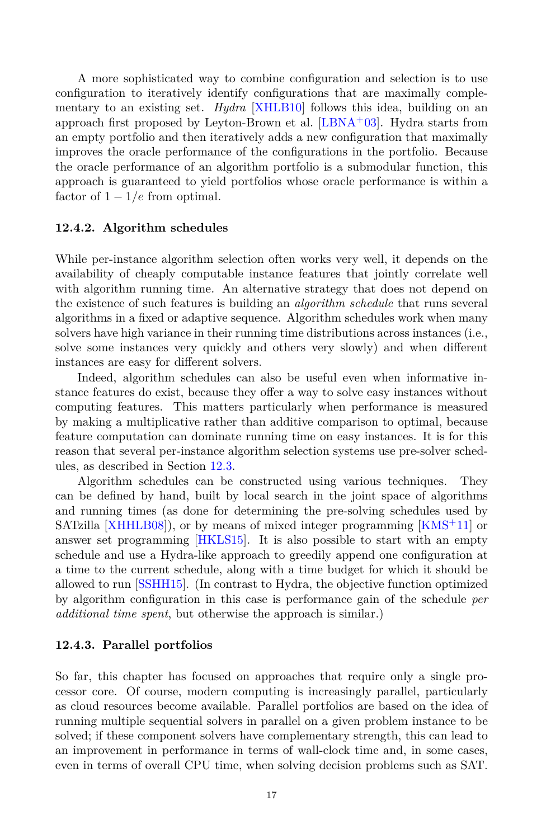A more sophisticated way to combine configuration and selection is to use configuration to iteratively identify configurations that are maximally complementary to an existing set. *Hydra* [\[XHLB10\]](#page-26-0) follows this idea, building on an approach first proposed by Leyton-Brown et al.  $[LBNA<sup>+</sup>03]$  $[LBNA<sup>+</sup>03]$  $[LBNA<sup>+</sup>03]$ . Hydra starts from an empty portfolio and then iteratively adds a new configuration that maximally improves the oracle performance of the configurations in the portfolio. Because the oracle performance of an algorithm portfolio is a submodular function, this approach is guaranteed to yield portfolios whose oracle performance is within a factor of  $1 - 1/e$  from optimal.

#### **12.4.2. Algorithm schedules**

While per-instance algorithm selection often works very well, it depends on the availability of cheaply computable instance features that jointly correlate well with algorithm running time. An alternative strategy that does not depend on the existence of such features is building an *algorithm schedule* that runs several algorithms in a fixed or adaptive sequence. Algorithm schedules work when many solvers have high variance in their running time distributions across instances (i.e., solve some instances very quickly and others very slowly) and when different instances are easy for different solvers.

Indeed, algorithm schedules can also be useful even when informative instance features do exist, because they offer a way to solve easy instances without computing features. This matters particularly when performance is measured by making a multiplicative rather than additive comparison to optimal, because feature computation can dominate running time on easy instances. It is for this reason that several per-instance algorithm selection systems use pre-solver schedules, as described in Section [12.3](#page-8-1).

Algorithm schedules can be constructed using various techniques. They can be defined by hand, built by local search in the joint space of algorithms and running times (as done for determining the pre-solving schedules used by SATzilla [\[XHHLB08\]](#page-26-2)), or by means of mixed integer programming [\[KMS](#page-23-7)<sup>+</sup>11] or answer set programming [\[HKLS15](#page-22-10)]. It is also possible to start with an empty schedule and use a Hydra-like approach to greedily append one configuration at a time to the current schedule, along with a time budget for which it should be allowed to run [[SSHH15\]](#page-25-11). (In contrast to Hydra, the objective function optimized by algorithm configuration in this case is performance gain of the schedule *per additional time spent*, but otherwise the approach is similar.)

#### <span id="page-16-0"></span>**12.4.3. Parallel portfolios**

So far, this chapter has focused on approaches that require only a single processor core. Of course, modern computing is increasingly parallel, particularly as cloud resources become available. Parallel portfolios are based on the idea of running multiple sequential solvers in parallel on a given problem instance to be solved; if these component solvers have complementary strength, this can lead to an improvement in performance in terms of wall-clock time and, in some cases, even in terms of overall CPU time, when solving decision problems such as SAT.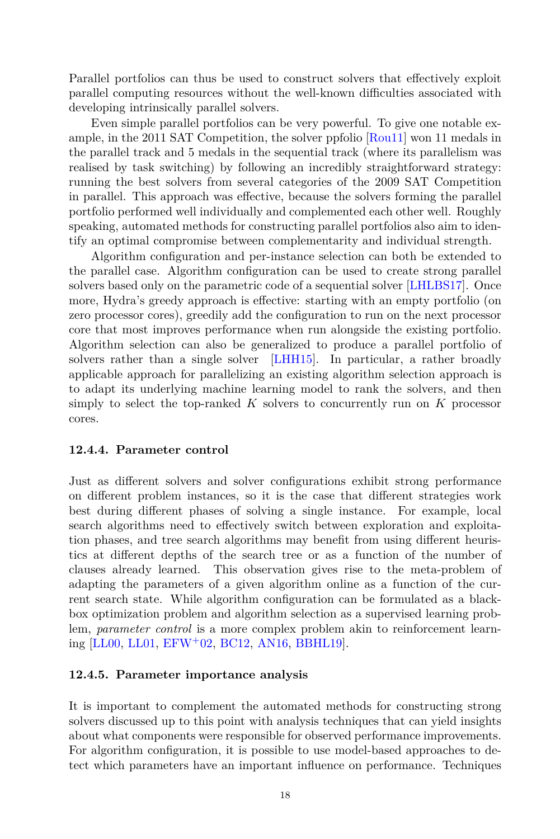Parallel portfolios can thus be used to construct solvers that effectively exploit parallel computing resources without the well-known difficulties associated with developing intrinsically parallel solvers.

Even simple parallel portfolios can be very powerful. To give one notable example, in the 2011 SAT Competition, the solver ppfolio [\[Rou11](#page-25-12)] won 11 medals in the parallel track and 5 medals in the sequential track (where its parallelism was realised by task switching) by following an incredibly straightforward strategy: running the best solvers from several categories of the 2009 SAT Competition in parallel. This approach was effective, because the solvers forming the parallel portfolio performed well individually and complemented each other well. Roughly speaking, automated methods for constructing parallel portfolios also aim to identify an optimal compromise between complementarity and individual strength.

Algorithm configuration and per-instance selection can both be extended to the parallel case. Algorithm configuration can be used to create strong parallel solvers based only on the parametric code of a sequential solver [[LHLBS17\]](#page-24-9). Once more, Hydra's greedy approach is effective: starting with an empty portfolio (on zero processor cores), greedily add the configuration to run on the next processor core that most improves performance when run alongside the existing portfolio. Algorithm selection can also be generalized to produce a parallel portfolio of solvers rather than a single solver [[LHH15](#page-23-12)]. In particular, a rather broadly applicable approach for parallelizing an existing algorithm selection approach is to adapt its underlying machine learning model to rank the solvers, and then simply to select the top-ranked *K* solvers to concurrently run on *K* processor cores.

# **12.4.4. Parameter control**

Just as different solvers and solver configurations exhibit strong performance on different problem instances, so it is the case that different strategies work best during different phases of solving a single instance. For example, local search algorithms need to effectively switch between exploration and exploitation phases, and tree search algorithms may benefit from using different heuristics at different depths of the search tree or as a function of the number of clauses already learned. This observation gives rise to the meta-problem of adapting the parameters of a given algorithm online as a function of the current search state. While algorithm configuration can be formulated as a blackbox optimization problem and algorithm selection as a supervised learning problem, *parameter control* is a more complex problem akin to reinforcement learning [\[LL00,](#page-24-10) [LL01](#page-24-11), [EFW](#page-21-10)<sup>+</sup>02, [BC12,](#page-20-8) [AN16,](#page-19-3) [BBHL19](#page-20-9)].

# **12.4.5. Parameter importance analysis**

It is important to complement the automated methods for constructing strong solvers discussed up to this point with analysis techniques that can yield insights about what components were responsible for observed performance improvements. For algorithm configuration, it is possible to use model-based approaches to detect which parameters have an important influence on performance. Techniques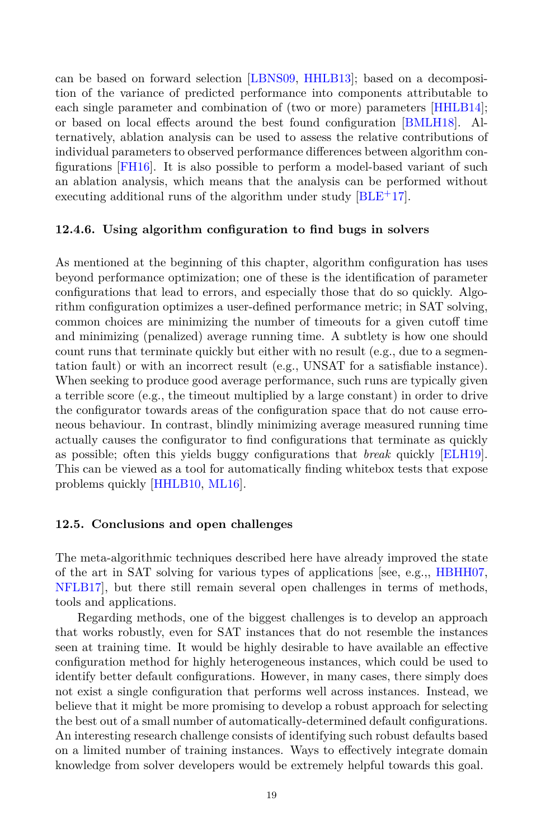can be based on forward selection [[LBNS09](#page-23-3), [HHLB13](#page-22-11)]; based on a decomposition of the variance of predicted performance into components attributable to each single parameter and combination of (two or more) parameters [[HHLB14\]](#page-22-12); or based on local effects around the best found configuration [\[BMLH18](#page-20-10)]. Alternatively, ablation analysis can be used to assess the relative contributions of individual parameters to observed performance differences between algorithm configurations [\[FH16](#page-21-11)]. It is also possible to perform a model-based variant of such an ablation analysis, which means that the analysis can be performed without executing additional runs of the algorithm under study  $|BLE+17|$  $|BLE+17|$  $|BLE+17|$ .

#### **12.4.6. Using algorithm configuration to find bugs in solvers**

As mentioned at the beginning of this chapter, algorithm configuration has uses beyond performance optimization; one of these is the identification of parameter configurations that lead to errors, and especially those that do so quickly. Algorithm configuration optimizes a user-defined performance metric; in SAT solving, common choices are minimizing the number of timeouts for a given cutoff time and minimizing (penalized) average running time. A subtlety is how one should count runs that terminate quickly but either with no result (e.g., due to a segmentation fault) or with an incorrect result (e.g., UNSAT for a satisfiable instance). When seeking to produce good average performance, such runs are typically given a terrible score (e.g., the timeout multiplied by a large constant) in order to drive the configurator towards areas of the configuration space that do not cause erroneous behaviour. In contrast, blindly minimizing average measured running time actually causes the configurator to find configurations that terminate as quickly as possible; often this yields buggy configurations that *break* quickly [[ELH19\]](#page-21-5). This can be viewed as a tool for automatically finding whitebox tests that expose problems quickly [[HHLB10,](#page-21-1) [ML16](#page-24-12)].

#### **12.5. Conclusions and open challenges**

The meta-algorithmic techniques described here have already improved the state of the art in SAT solving for various types of applications [see, e.g.,, [HBHH07,](#page-21-0) [NFLB17](#page-24-1)], but there still remain several open challenges in terms of methods, tools and applications.

Regarding methods, one of the biggest challenges is to develop an approach that works robustly, even for SAT instances that do not resemble the instances seen at training time. It would be highly desirable to have available an effective configuration method for highly heterogeneous instances, which could be used to identify better default configurations. However, in many cases, there simply does not exist a single configuration that performs well across instances. Instead, we believe that it might be more promising to develop a robust approach for selecting the best out of a small number of automatically-determined default configurations. An interesting research challenge consists of identifying such robust defaults based on a limited number of training instances. Ways to effectively integrate domain knowledge from solver developers would be extremely helpful towards this goal.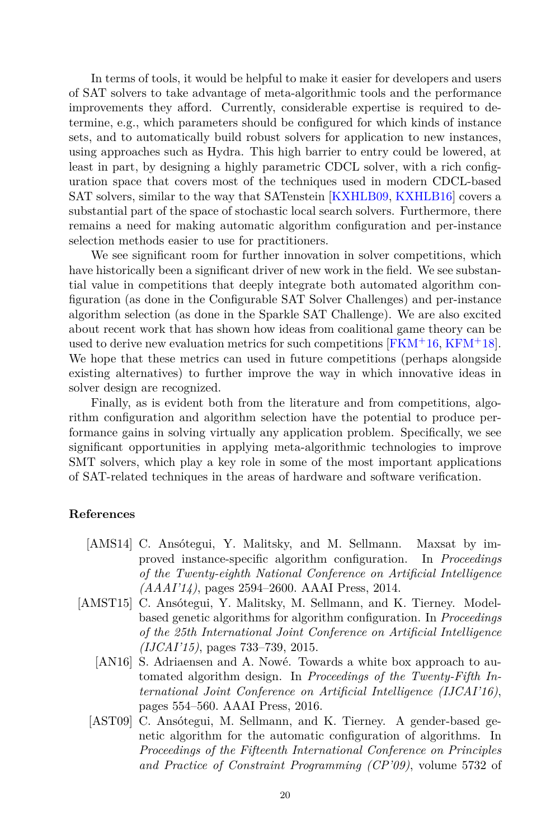In terms of tools, it would be helpful to make it easier for developers and users of SAT solvers to take advantage of meta-algorithmic tools and the performance improvements they afford. Currently, considerable expertise is required to determine, e.g., which parameters should be configured for which kinds of instance sets, and to automatically build robust solvers for application to new instances, using approaches such as Hydra. This high barrier to entry could be lowered, at least in part, by designing a highly parametric CDCL solver, with a rich configuration space that covers most of the techniques used in modern CDCL-based SAT solvers, similar to the way that SATenstein [[KXHLB09,](#page-23-0) [KXHLB16\]](#page-23-1) covers a substantial part of the space of stochastic local search solvers. Furthermore, there remains a need for making automatic algorithm configuration and per-instance selection methods easier to use for practitioners.

We see significant room for further innovation in solver competitions, which have historically been a significant driver of new work in the field. We see substantial value in competitions that deeply integrate both automated algorithm configuration (as done in the Configurable SAT Solver Challenges) and per-instance algorithm selection (as done in the Sparkle SAT Challenge). We are also excited about recent work that has shown how ideas from coalitional game theory can be used to derive new evaluation metrics for such competitions  $[FKM+16, KFM+18]$  $[FKM+16, KFM+18]$  $[FKM+16, KFM+18]$  $[FKM+16, KFM+18]$  $[FKM+16, KFM+18]$ . We hope that these metrics can used in future competitions (perhaps alongside existing alternatives) to further improve the way in which innovative ideas in solver design are recognized.

Finally, as is evident both from the literature and from competitions, algorithm configuration and algorithm selection have the potential to produce performance gains in solving virtually any application problem. Specifically, we see significant opportunities in applying meta-algorithmic technologies to improve SMT solvers, which play a key role in some of the most important applications of SAT-related techniques in the areas of hardware and software verification.

#### **References**

- <span id="page-19-1"></span>[AMS14] C. Ansótegui, Y. Malitsky, and M. Sellmann. Maxsat by improved instance-specific algorithm configuration. In *Proceedings of the Twenty-eighth National Conference on Artificial Intelligence (AAAI'14)*, pages 2594–2600. AAAI Press, 2014.
- <span id="page-19-3"></span><span id="page-19-2"></span><span id="page-19-0"></span>[AMST15] C. Ansótegui, Y. Malitsky, M. Sellmann, and K. Tierney. Modelbased genetic algorithms for algorithm configuration. In *Proceedings of the 25th International Joint Conference on Artificial Intelligence (IJCAI'15)*, pages 733–739, 2015.
	- [AN16] S. Adriaensen and A. Nowé. Towards a white box approach to automated algorithm design. In *Proceedings of the Twenty-Fifth International Joint Conference on Artificial Intelligence (IJCAI'16)*, pages 554–560. AAAI Press, 2016.
	- [AST09] C. Ansótegui, M. Sellmann, and K. Tierney. A gender-based genetic algorithm for the automatic configuration of algorithms. In *Proceedings of the Fifteenth International Conference on Principles and Practice of Constraint Programming (CP'09)*, volume 5732 of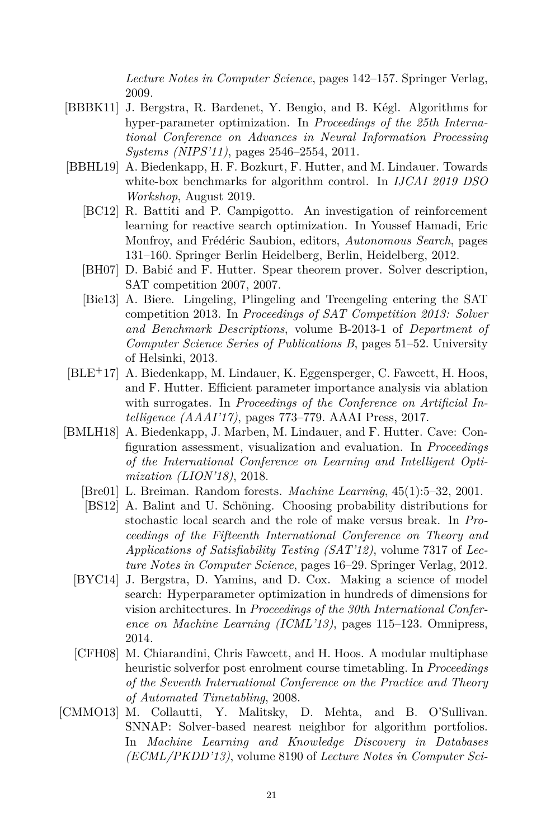*Lecture Notes in Computer Science*, pages 142–157. Springer Verlag, 2009.

- <span id="page-20-1"></span>[BBBK11] J. Bergstra, R. Bardenet, Y. Bengio, and B. K´egl. Algorithms for hyper-parameter optimization. In *Proceedings of the 25th International Conference on Advances in Neural Information Processing Systems (NIPS'11)*, pages 2546–2554, 2011.
- <span id="page-20-9"></span><span id="page-20-8"></span><span id="page-20-3"></span>[BBHL19] A. Biedenkapp, H. F. Bozkurt, F. Hutter, and M. Lindauer. Towards white-box benchmarks for algorithm control. In *IJCAI 2019 DSO Workshop*, August 2019.
	- [BC12] R. Battiti and P. Campigotto. An investigation of reinforcement learning for reactive search optimization. In Youssef Hamadi, Eric Monfroy, and Frédéric Saubion, editors, *Autonomous Search*, pages 131–160. Springer Berlin Heidelberg, Berlin, Heidelberg, 2012.
	- [BH07] D. Babić and F. Hutter. Spear theorem prover. Solver description, SAT competition 2007, 2007.
	- [Bie13] A. Biere. Lingeling, Plingeling and Treengeling entering the SAT competition 2013. In *Proceedings of SAT Competition 2013: Solver and Benchmark Descriptions*, volume B-2013-1 of *Department of Computer Science Series of Publications B*, pages 51–52. University of Helsinki, 2013.
- <span id="page-20-11"></span><span id="page-20-6"></span>[BLE+17] A. Biedenkapp, M. Lindauer, K. Eggensperger, C. Fawcett, H. Hoos, and F. Hutter. Efficient parameter importance analysis via ablation with surrogates. In *Proceedings of the Conference on Artificial Intelligence (AAAI'17)*, pages 773–779. AAAI Press, 2017.
- <span id="page-20-10"></span><span id="page-20-5"></span><span id="page-20-4"></span>[BMLH18] A. Biedenkapp, J. Marben, M. Lindauer, and F. Hutter. Cave: Configuration assessment, visualization and evaluation. In *Proceedings of the International Conference on Learning and Intelligent Optimization (LION'18)*, 2018.
	- [Bre01] L. Breiman. Random forests. *Machine Learning*, 45(1):5–32, 2001.
	- [BS12] A. Balint and U. Schöning. Choosing probability distributions for stochastic local search and the role of make versus break. In *Proceedings of the Fifteenth International Conference on Theory and Applications of Satisfiability Testing (SAT'12)*, volume 7317 of *Lecture Notes in Computer Science*, pages 16–29. Springer Verlag, 2012.
	- [BYC14] J. Bergstra, D. Yamins, and D. Cox. Making a science of model search: Hyperparameter optimization in hundreds of dimensions for vision architectures. In *Proceedings of the 30th International Conference on Machine Learning (ICML'13)*, pages 115–123. Omnipress, 2014.
	- [CFH08] M. Chiarandini, Chris Fawcett, and H. Hoos. A modular multiphase heuristic solverfor post enrolment course timetabling. In *Proceedings of the Seventh International Conference on the Practice and Theory of Automated Timetabling*, 2008.
- <span id="page-20-7"></span><span id="page-20-2"></span><span id="page-20-0"></span>[CMMO13] M. Collautti, Y. Malitsky, D. Mehta, and B. O'Sullivan. SNNAP: Solver-based nearest neighbor for algorithm portfolios. In *Machine Learning and Knowledge Discovery in Databases (ECML/PKDD'13)*, volume 8190 of *Lecture Notes in Computer Sci-*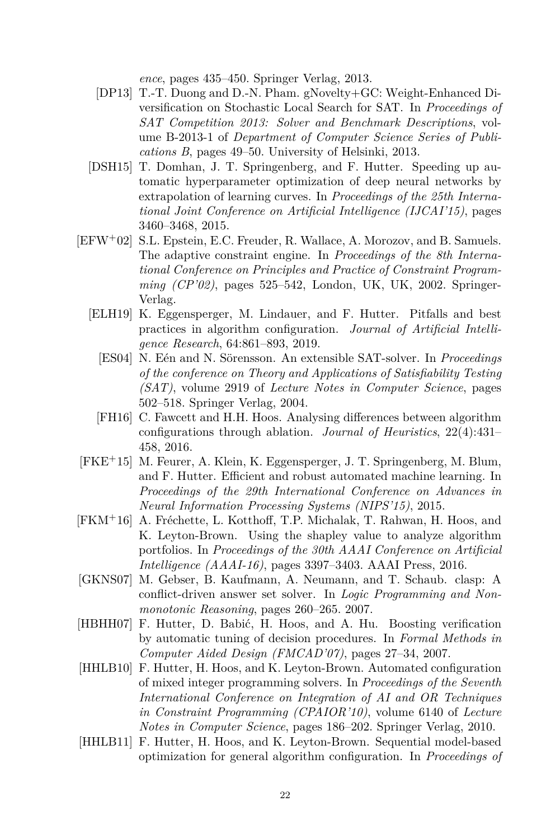*ence*, pages 435–450. Springer Verlag, 2013.

- <span id="page-21-6"></span>[DP13] T.-T. Duong and D.-N. Pham. gNovelty+GC: Weight-Enhanced Diversification on Stochastic Local Search for SAT. In *Proceedings of SAT Competition 2013: Solver and Benchmark Descriptions*, volume B-2013-1 of *Department of Computer Science Series of Publications B*, pages 49–50. University of Helsinki, 2013.
- <span id="page-21-2"></span>[DSH15] T. Domhan, J. T. Springenberg, and F. Hutter. Speeding up automatic hyperparameter optimization of deep neural networks by extrapolation of learning curves. In *Proceedings of the 25th International Joint Conference on Artificial Intelligence (IJCAI'15)*, pages 3460–3468, 2015.
- <span id="page-21-10"></span><span id="page-21-5"></span>[EFW+02] S.L. Epstein, E.C. Freuder, R. Wallace, A. Morozov, and B. Samuels. The adaptive constraint engine. In *Proceedings of the 8th International Conference on Principles and Practice of Constraint Programming (CP'02)*, pages 525–542, London, UK, UK, 2002. Springer-Verlag.
	- [ELH19] K. Eggensperger, M. Lindauer, and F. Hutter. Pitfalls and best practices in algorithm configuration. *Journal of Artificial Intelligence Research*, 64:861–893, 2019.
		- [ES04] N. Eén and N. Sörensson. An extensible SAT-solver. In *Proceedings of the conference on Theory and Applications of Satisfiability Testing (SAT)*, volume 2919 of *Lecture Notes in Computer Science*, pages 502–518. Springer Verlag, 2004.
		- [FH16] C. Fawcett and H.H. Hoos. Analysing differences between algorithm configurations through ablation. *Journal of Heuristics*, 22(4):431– 458, 2016.
- <span id="page-21-11"></span><span id="page-21-8"></span><span id="page-21-3"></span>[FKE+15] M. Feurer, A. Klein, K. Eggensperger, J. T. Springenberg, M. Blum, and F. Hutter. Efficient and robust automated machine learning. In *Proceedings of the 29th International Conference on Advances in Neural Information Processing Systems (NIPS'15)*, 2015.
- <span id="page-21-9"></span>[FKM<sup>+</sup>16] A. Fréchette, L. Kotthoff, T.P. Michalak, T. Rahwan, H. Hoos, and K. Leyton-Brown. Using the shapley value to analyze algorithm portfolios. In *Proceedings of the 30th AAAI Conference on Artificial Intelligence (AAAI-16)*, pages 3397–3403. AAAI Press, 2016.
- <span id="page-21-7"></span>[GKNS07] M. Gebser, B. Kaufmann, A. Neumann, and T. Schaub. clasp: A conflict-driven answer set solver. In *Logic Programming and Nonmonotonic Reasoning*, pages 260–265. 2007.
- <span id="page-21-0"></span>[HBHH07] F. Hutter, D. Babić, H. Hoos, and A. Hu. Boosting verification by automatic tuning of decision procedures. In *Formal Methods in Computer Aided Design (FMCAD'07)*, pages 27–34, 2007.
- <span id="page-21-1"></span>[HHLB10] F. Hutter, H. Hoos, and K. Leyton-Brown. Automated configuration of mixed integer programming solvers. In *Proceedings of the Seventh International Conference on Integration of AI and OR Techniques in Constraint Programming (CPAIOR'10)*, volume 6140 of *Lecture Notes in Computer Science*, pages 186–202. Springer Verlag, 2010.
- <span id="page-21-4"></span>[HHLB11] F. Hutter, H. Hoos, and K. Leyton-Brown. Sequential model-based optimization for general algorithm configuration. In *Proceedings of*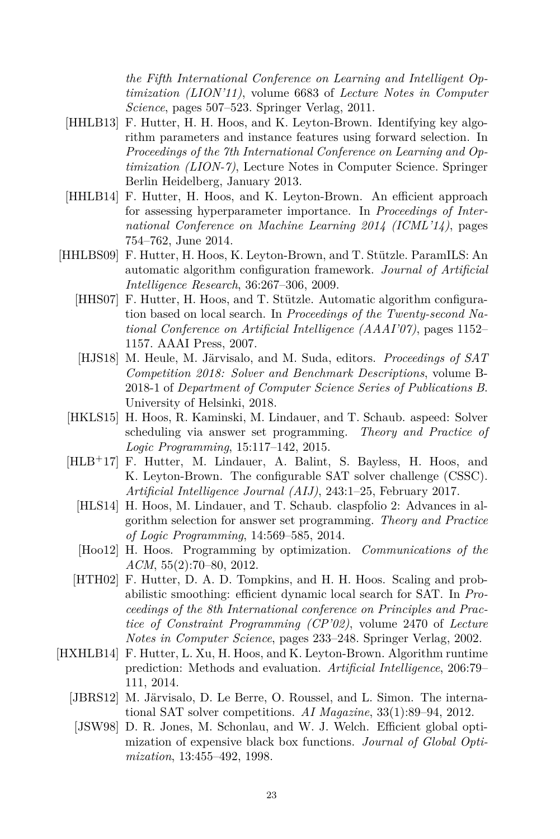*the Fifth International Conference on Learning and Intelligent Optimization (LION'11)*, volume 6683 of *Lecture Notes in Computer Science*, pages 507–523. Springer Verlag, 2011.

- <span id="page-22-11"></span>[HHLB13] F. Hutter, H. H. Hoos, and K. Leyton-Brown. Identifying key algorithm parameters and instance features using forward selection. In *Proceedings of the 7th International Conference on Learning and Optimization (LION-7)*, Lecture Notes in Computer Science. Springer Berlin Heidelberg, January 2013.
- <span id="page-22-12"></span>[HHLB14] F. Hutter, H. Hoos, and K. Leyton-Brown. An efficient approach for assessing hyperparameter importance. In *Proceedings of International Conference on Machine Learning 2014 (ICML'14)*, pages 754–762, June 2014.
- <span id="page-22-10"></span><span id="page-22-6"></span><span id="page-22-2"></span><span id="page-22-1"></span>[HHLBS09] F. Hutter, H. Hoos, K. Leyton-Brown, and T. Stützle. ParamILS: An automatic algorithm configuration framework. *Journal of Artificial Intelligence Research*, 36:267–306, 2009.
	- [HHS07] F. Hutter, H. Hoos, and T. Stützle. Automatic algorithm configuration based on local search. In *Proceedings of the Twenty-second National Conference on Artificial Intelligence (AAAI'07)*, pages 1152– 1157. AAAI Press, 2007.
	- [HJS18] M. Heule, M. Järvisalo, and M. Suda, editors. *Proceedings of SAT Competition 2018: Solver and Benchmark Descriptions*, volume B-2018-1 of *Department of Computer Science Series of Publications B*. University of Helsinki, 2018.
	- [HKLS15] H. Hoos, R. Kaminski, M. Lindauer, and T. Schaub. aspeed: Solver scheduling via answer set programming. *Theory and Practice of Logic Programming*, 15:117–142, 2015.
	- [HLB+17] F. Hutter, M. Lindauer, A. Balint, S. Bayless, H. Hoos, and K. Leyton-Brown. The configurable SAT solver challenge (CSSC). *Artificial Intelligence Journal (AIJ)*, 243:1–25, February 2017.
		- [HLS14] H. Hoos, M. Lindauer, and T. Schaub. claspfolio 2: Advances in algorithm selection for answer set programming. *Theory and Practice of Logic Programming*, 14:569–585, 2014.
		- [Hoo12] H. Hoos. Programming by optimization. *Communications of the ACM*, 55(2):70–80, 2012.
		- [HTH02] F. Hutter, D. A. D. Tompkins, and H. H. Hoos. Scaling and probabilistic smoothing: efficient dynamic local search for SAT. In *Proceedings of the 8th International conference on Principles and Practice of Constraint Programming (CP'02)*, volume 2470 of *Lecture Notes in Computer Science*, pages 233–248. Springer Verlag, 2002.
- <span id="page-22-9"></span><span id="page-22-8"></span><span id="page-22-7"></span><span id="page-22-5"></span><span id="page-22-4"></span><span id="page-22-3"></span><span id="page-22-0"></span>[HXHLB14] F. Hutter, L. Xu, H. Hoos, and K. Leyton-Brown. Algorithm runtime prediction: Methods and evaluation. *Artificial Intelligence*, 206:79– 111, 2014.
	- [JBRS12] M. Järvisalo, D. Le Berre, O. Roussel, and L. Simon. The international SAT solver competitions. *AI Magazine*, 33(1):89–94, 2012.
	- [JSW98] D. R. Jones, M. Schonlau, and W. J. Welch. Efficient global optimization of expensive black box functions. *Journal of Global Optimization*, 13:455–492, 1998.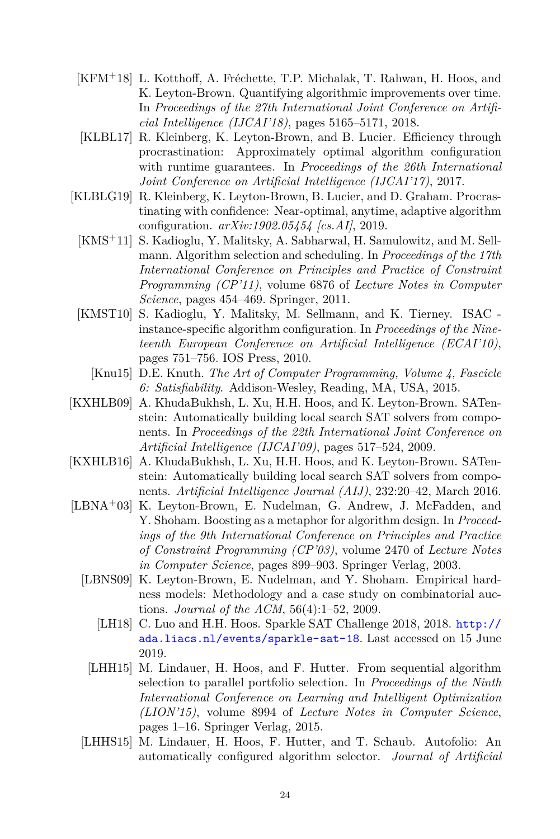- <span id="page-23-10"></span>[KFM<sup>+</sup>18] L. Kotthoff, A. Fréchette, T.P. Michalak, T. Rahwan, H. Hoos, and K. Leyton-Brown. Quantifying algorithmic improvements over time. In *Proceedings of the 27th International Joint Conference on Artificial Intelligence (IJCAI'18)*, pages 5165–5171, 2018.
- <span id="page-23-4"></span>[KLBL17] R. Kleinberg, K. Leyton-Brown, and B. Lucier. Efficiency through procrastination: Approximately optimal algorithm configuration with runtime guarantees. In *Proceedings of the 26th International Joint Conference on Artificial Intelligence (IJCAI'17)*, 2017.
- <span id="page-23-7"></span><span id="page-23-5"></span>[KLBLG19] R. Kleinberg, K. Leyton-Brown, B. Lucier, and D. Graham. Procrastinating with confidence: Near-optimal, anytime, adaptive algorithm configuration. *arXiv:1902.05454 [cs.AI]*, 2019.
	- [KMS+11] S. Kadioglu, Y. Malitsky, A. Sabharwal, H. Samulowitz, and M. Sellmann. Algorithm selection and scheduling. In *Proceedings of the 17th International Conference on Principles and Practice of Constraint Programming (CP'11)*, volume 6876 of *Lecture Notes in Computer Science*, pages 454–469. Springer, 2011.
	- [KMST10] S. Kadioglu, Y. Malitsky, M. Sellmann, and K. Tierney. ISAC instance-specific algorithm configuration. In *Proceedings of the Nineteenth European Conference on Artificial Intelligence (ECAI'10)*, pages 751–756. IOS Press, 2010.
		- [Knu15] D.E. Knuth. *The Art of Computer Programming, Volume 4, Fascicle 6: Satisfiability*. Addison-Wesley, Reading, MA, USA, 2015.
- <span id="page-23-6"></span><span id="page-23-2"></span><span id="page-23-0"></span>[KXHLB09] A. KhudaBukhsh, L. Xu, H.H. Hoos, and K. Leyton-Brown. SATenstein: Automatically building local search SAT solvers from components. In *Proceedings of the 22th International Joint Conference on Artificial Intelligence (IJCAI'09)*, pages 517–524, 2009.
- <span id="page-23-1"></span>[KXHLB16] A. KhudaBukhsh, L. Xu, H.H. Hoos, and K. Leyton-Brown. SATenstein: Automatically building local search SAT solvers from components. *Artificial Intelligence Journal (AIJ)*, 232:20–42, March 2016.
- <span id="page-23-12"></span><span id="page-23-11"></span><span id="page-23-9"></span><span id="page-23-8"></span><span id="page-23-3"></span>[LBNA+03] K. Leyton-Brown, E. Nudelman, G. Andrew, J. McFadden, and Y. Shoham. Boosting as a metaphor for algorithm design. In *Proceedings of the 9th International Conference on Principles and Practice of Constraint Programming (CP'03)*, volume 2470 of *Lecture Notes in Computer Science*, pages 899–903. Springer Verlag, 2003.
	- [LBNS09] K. Leyton-Brown, E. Nudelman, and Y. Shoham. Empirical hardness models: Methodology and a case study on combinatorial auctions. *Journal of the ACM*, 56(4):1–52, 2009.
		- [LH18] C. Luo and H.H. Hoos. Sparkle SAT Challenge 2018, 2018. [http://](http://ada.liacs.nl/events/sparkle-sat-18) [ada.liacs.nl/events/sparkle-sat-18](http://ada.liacs.nl/events/sparkle-sat-18). Last accessed on 15 June 2019.
	- [LHH15] M. Lindauer, H. Hoos, and F. Hutter. From sequential algorithm selection to parallel portfolio selection. In *Proceedings of the Ninth International Conference on Learning and Intelligent Optimization (LION'15)*, volume 8994 of *Lecture Notes in Computer Science*, pages 1–16. Springer Verlag, 2015.
	- [LHHS15] M. Lindauer, H. Hoos, F. Hutter, and T. Schaub. Autofolio: An automatically configured algorithm selector. *Journal of Artificial*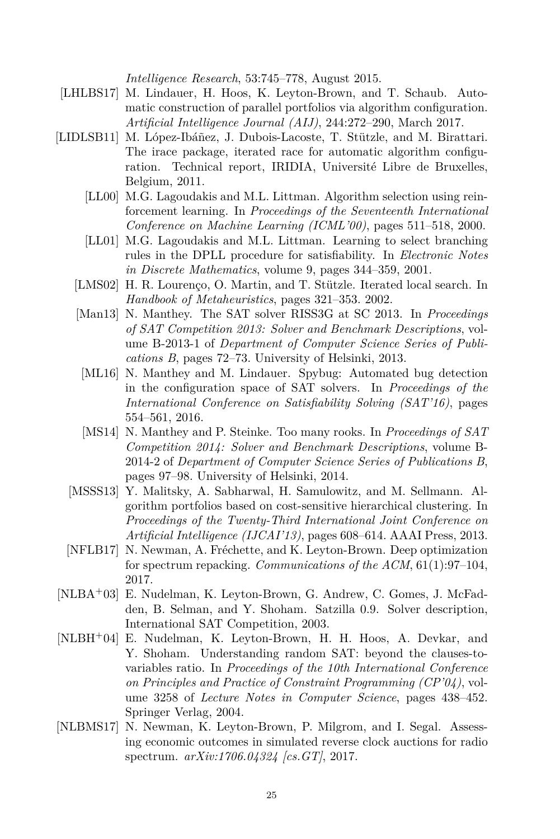*Intelligence Research*, 53:745–778, August 2015.

- <span id="page-24-9"></span>[LHLBS17] M. Lindauer, H. Hoos, K. Leyton-Brown, and T. Schaub. Automatic construction of parallel portfolios via algorithm configuration. *Artificial Intelligence Journal (AIJ)*, 244:272–290, March 2017.
- <span id="page-24-11"></span><span id="page-24-10"></span><span id="page-24-5"></span><span id="page-24-4"></span><span id="page-24-0"></span>[LIDLSB11] M. López-Ibáñez, J. Dubois-Lacoste, T. Stützle, and M. Birattari. The irace package, iterated race for automatic algorithm configuration. Technical report, IRIDIA, Université Libre de Bruxelles, Belgium, 2011.
	- [LL00] M.G. Lagoudakis and M.L. Littman. Algorithm selection using reinforcement learning. In *Proceedings of the Seventeenth International Conference on Machine Learning (ICML'00)*, pages 511–518, 2000.
	- [LL01] M.G. Lagoudakis and M.L. Littman. Learning to select branching rules in the DPLL procedure for satisfiability. In *Electronic Notes in Discrete Mathematics*, volume 9, pages 344–359, 2001.
	- [LMS02] H. R. Lourenço, O. Martin, and T. Stützle. Iterated local search. In *Handbook of Metaheuristics*, pages 321–353. 2002.
	- [Man13] N. Manthey. The SAT solver RISS3G at SC 2013. In *Proceedings of SAT Competition 2013: Solver and Benchmark Descriptions*, volume B-2013-1 of *Department of Computer Science Series of Publications B*, pages 72–73. University of Helsinki, 2013.
	- [ML16] N. Manthey and M. Lindauer. Spybug: Automated bug detection in the configuration space of SAT solvers. In *Proceedings of the International Conference on Satisfiability Solving (SAT'16)*, pages 554–561, 2016.
	- [MS14] N. Manthey and P. Steinke. Too many rooks. In *Proceedings of SAT Competition 2014: Solver and Benchmark Descriptions*, volume B-2014-2 of *Department of Computer Science Series of Publications B*, pages 97–98. University of Helsinki, 2014.
	- [MSSS13] Y. Malitsky, A. Sabharwal, H. Samulowitz, and M. Sellmann. Algorithm portfolios based on cost-sensitive hierarchical clustering. In *Proceedings of the Twenty-Third International Joint Conference on Artificial Intelligence (IJCAI'13)*, pages 608–614. AAAI Press, 2013.
	- [NFLB17] N. Newman, A. Fréchette, and K. Leyton-Brown. Deep optimization for spectrum repacking. *Communications of the ACM*, 61(1):97–104, 2017.
- <span id="page-24-12"></span><span id="page-24-8"></span><span id="page-24-6"></span><span id="page-24-3"></span><span id="page-24-1"></span>[NLBA<sup>+</sup>03] E. Nudelman, K. Leyton-Brown, G. Andrew, C. Gomes, J. McFadden, B. Selman, and Y. Shoham. Satzilla 0.9. Solver description, International SAT Competition, 2003.
- <span id="page-24-7"></span>[NLBH<sup>+</sup>04] E. Nudelman, K. Leyton-Brown, H. H. Hoos, A. Devkar, and Y. Shoham. Understanding random SAT: beyond the clauses-tovariables ratio. In *Proceedings of the 10th International Conference on Principles and Practice of Constraint Programming (CP'04)*, volume 3258 of *Lecture Notes in Computer Science*, pages 438–452. Springer Verlag, 2004.
- <span id="page-24-2"></span>[NLBMS17] N. Newman, K. Leyton-Brown, P. Milgrom, and I. Segal. Assessing economic outcomes in simulated reverse clock auctions for radio spectrum. *arXiv:1706.04324 [cs.GT]*, 2017.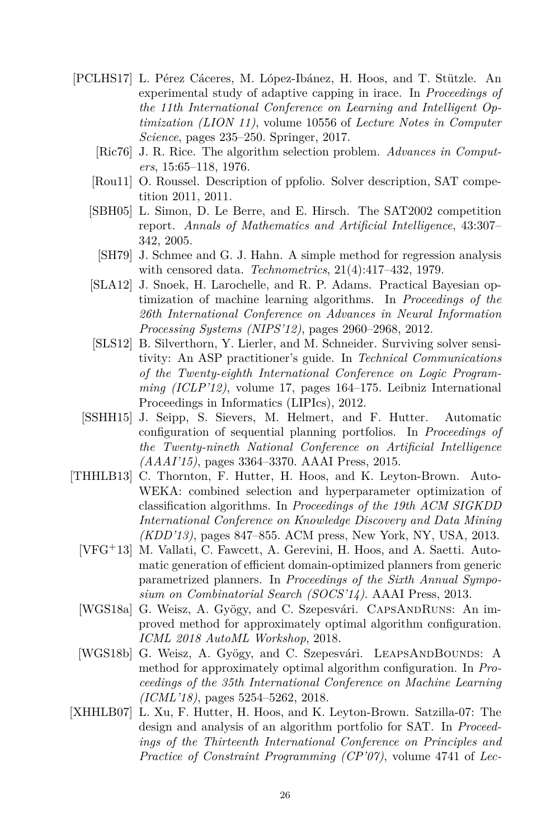- <span id="page-25-12"></span><span id="page-25-10"></span><span id="page-25-8"></span><span id="page-25-5"></span><span id="page-25-4"></span>[PCLHS17] L. Pérez Cáceres, M. López-Ibánez, H. Hoos, and T. Stützle. An experimental study of adaptive capping in irace. In *Proceedings of the 11th International Conference on Learning and Intelligent Optimization (LION 11)*, volume 10556 of *Lecture Notes in Computer Science*, pages 235–250. Springer, 2017.
	- [Ric76] J. R. Rice. The algorithm selection problem. *Advances in Computers*, 15:65–118, 1976.
	- [Rou11] O. Roussel. Description of ppfolio. Solver description, SAT competition 2011, 2011.
	- [SBH05] L. Simon, D. Le Berre, and E. Hirsch. The SAT2002 competition report. *Annals of Mathematics and Artificial Intelligence*, 43:307– 342, 2005.
	- [SH79] J. Schmee and G. J. Hahn. A simple method for regression analysis with censored data. *Technometrics*, 21(4):417–432, 1979.
	- [SLA12] J. Snoek, H. Larochelle, and R. P. Adams. Practical Bayesian optimization of machine learning algorithms. In *Proceedings of the 26th International Conference on Advances in Neural Information Processing Systems (NIPS'12)*, pages 2960–2968, 2012.
	- [SLS12] B. Silverthorn, Y. Lierler, and M. Schneider. Surviving solver sensitivity: An ASP practitioner's guide. In *Technical Communications of the Twenty-eighth International Conference on Logic Programming (ICLP'12)*, volume 17, pages 164–175. Leibniz International Proceedings in Informatics (LIPIcs), 2012.
	- [SSHH15] J. Seipp, S. Sievers, M. Helmert, and F. Hutter. Automatic configuration of sequential planning portfolios. In *Proceedings of the Twenty-nineth National Conference on Artificial Intelligence (AAAI'15)*, pages 3364–3370. AAAI Press, 2015.
- <span id="page-25-11"></span><span id="page-25-3"></span><span id="page-25-2"></span><span id="page-25-1"></span><span id="page-25-0"></span>[THHLB13] C. Thornton, F. Hutter, H. Hoos, and K. Leyton-Brown. Auto-WEKA: combined selection and hyperparameter optimization of classification algorithms. In *Proceedings of the 19th ACM SIGKDD International Conference on Knowledge Discovery and Data Mining (KDD'13)*, pages 847–855. ACM press, New York, NY, USA, 2013.
	- [VFG<sup>+</sup>13] M. Vallati, C. Fawcett, A. Gerevini, H. Hoos, and A. Saetti. Automatic generation of efficient domain-optimized planners from generic parametrized planners. In *Proceedings of the Sixth Annual Symposium on Combinatorial Search (SOCS'14)*. AAAI Press, 2013.
	- [WGS18a] G. Weisz, A. Gyögy, and C. Szepesvári. CAPSANDRUNS: An improved method for approximately optimal algorithm configuration. *ICML 2018 AutoML Workshop*, 2018.
	- [WGS18b] G. Weisz, A. Gyögy, and C. Szepesvári. LEAPSANDBOUNDS: A method for approximately optimal algorithm configuration. In *Proceedings of the 35th International Conference on Machine Learning (ICML'18)*, pages 5254–5262, 2018.
- <span id="page-25-9"></span><span id="page-25-7"></span><span id="page-25-6"></span>[XHHLB07] L. Xu, F. Hutter, H. Hoos, and K. Leyton-Brown. Satzilla-07: The design and analysis of an algorithm portfolio for SAT. In *Proceedings of the Thirteenth International Conference on Principles and Practice of Constraint Programming (CP'07)*, volume 4741 of *Lec-*